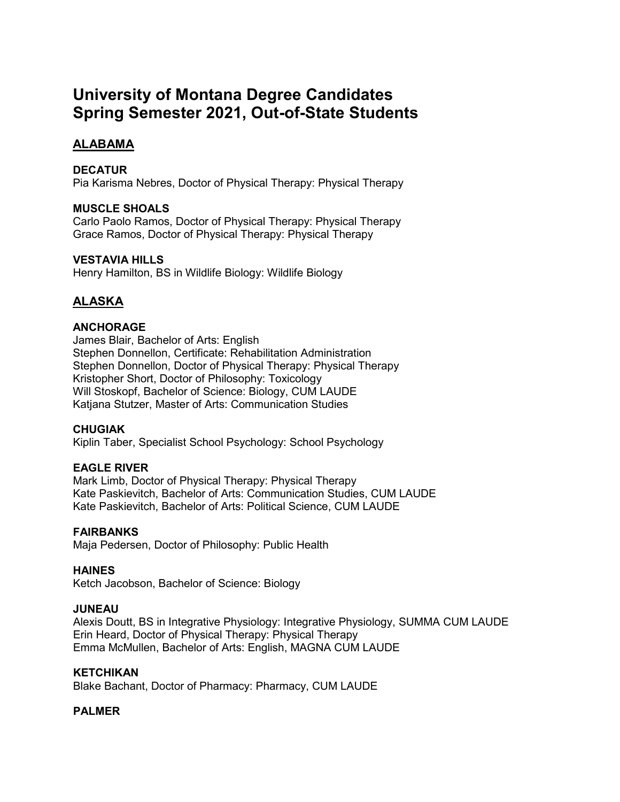# **University of Montana Degree Candidates Spring Semester 2021, Out-of-State Students**

# **ALABAMA**

# **DECATUR**

Pia Karisma Nebres, Doctor of Physical Therapy: Physical Therapy

# **MUSCLE SHOALS**

Carlo Paolo Ramos, Doctor of Physical Therapy: Physical Therapy Grace Ramos, Doctor of Physical Therapy: Physical Therapy

# **VESTAVIA HILLS**

Henry Hamilton, BS in Wildlife Biology: Wildlife Biology

# **ALASKA**

# **ANCHORAGE**

James Blair, Bachelor of Arts: English Stephen Donnellon, Certificate: Rehabilitation Administration Stephen Donnellon, Doctor of Physical Therapy: Physical Therapy Kristopher Short, Doctor of Philosophy: Toxicology Will Stoskopf, Bachelor of Science: Biology, CUM LAUDE Katjana Stutzer, Master of Arts: Communication Studies

# **CHUGIAK**

Kiplin Taber, Specialist School Psychology: School Psychology

# **EAGLE RIVER**

Mark Limb, Doctor of Physical Therapy: Physical Therapy Kate Paskievitch, Bachelor of Arts: Communication Studies, CUM LAUDE Kate Paskievitch, Bachelor of Arts: Political Science, CUM LAUDE

# **FAIRBANKS**

Maja Pedersen, Doctor of Philosophy: Public Health

# **HAINES**

Ketch Jacobson, Bachelor of Science: Biology

# **JUNEAU**

Alexis Doutt, BS in Integrative Physiology: Integrative Physiology, SUMMA CUM LAUDE Erin Heard, Doctor of Physical Therapy: Physical Therapy Emma McMullen, Bachelor of Arts: English, MAGNA CUM LAUDE

# **KETCHIKAN**

Blake Bachant, Doctor of Pharmacy: Pharmacy, CUM LAUDE

# **PALMER**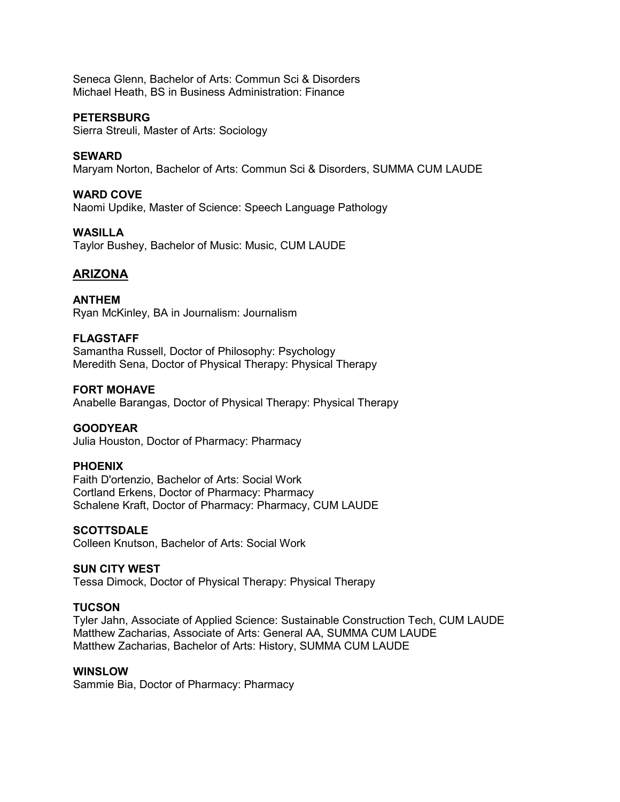Seneca Glenn, Bachelor of Arts: Commun Sci & Disorders Michael Heath, BS in Business Administration: Finance

## **PETERSBURG**

Sierra Streuli, Master of Arts: Sociology

## **SEWARD**

Maryam Norton, Bachelor of Arts: Commun Sci & Disorders, SUMMA CUM LAUDE

#### **WARD COVE**

Naomi Updike, Master of Science: Speech Language Pathology

# **WASILLA**

Taylor Bushey, Bachelor of Music: Music, CUM LAUDE

# **ARIZONA**

**ANTHEM** Ryan McKinley, BA in Journalism: Journalism

## **FLAGSTAFF**

Samantha Russell, Doctor of Philosophy: Psychology Meredith Sena, Doctor of Physical Therapy: Physical Therapy

# **FORT MOHAVE**

Anabelle Barangas, Doctor of Physical Therapy: Physical Therapy

#### **GOODYEAR**

Julia Houston, Doctor of Pharmacy: Pharmacy

#### **PHOENIX**

Faith D'ortenzio, Bachelor of Arts: Social Work Cortland Erkens, Doctor of Pharmacy: Pharmacy Schalene Kraft, Doctor of Pharmacy: Pharmacy, CUM LAUDE

#### **SCOTTSDALE**

Colleen Knutson, Bachelor of Arts: Social Work

#### **SUN CITY WEST**

Tessa Dimock, Doctor of Physical Therapy: Physical Therapy

#### **TUCSON**

Tyler Jahn, Associate of Applied Science: Sustainable Construction Tech, CUM LAUDE Matthew Zacharias, Associate of Arts: General AA, SUMMA CUM LAUDE Matthew Zacharias, Bachelor of Arts: History, SUMMA CUM LAUDE

## **WINSLOW**

Sammie Bia, Doctor of Pharmacy: Pharmacy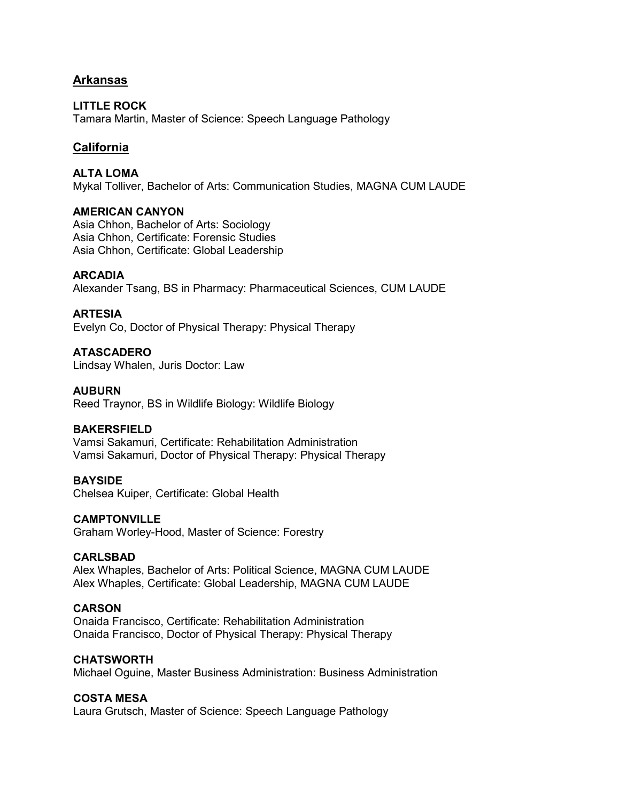# **Arkansas**

**LITTLE ROCK** Tamara Martin, Master of Science: Speech Language Pathology

# **California**

**ALTA LOMA** Mykal Tolliver, Bachelor of Arts: Communication Studies, MAGNA CUM LAUDE

## **AMERICAN CANYON**

Asia Chhon, Bachelor of Arts: Sociology Asia Chhon, Certificate: Forensic Studies Asia Chhon, Certificate: Global Leadership

## **ARCADIA**

Alexander Tsang, BS in Pharmacy: Pharmaceutical Sciences, CUM LAUDE

## **ARTESIA**

Evelyn Co, Doctor of Physical Therapy: Physical Therapy

**ATASCADERO** Lindsay Whalen, Juris Doctor: Law

#### **AUBURN**

Reed Traynor, BS in Wildlife Biology: Wildlife Biology

## **BAKERSFIELD**

Vamsi Sakamuri, Certificate: Rehabilitation Administration Vamsi Sakamuri, Doctor of Physical Therapy: Physical Therapy

# **BAYSIDE**

Chelsea Kuiper, Certificate: Global Health

#### **CAMPTONVILLE**

Graham Worley-Hood, Master of Science: Forestry

# **CARLSBAD**

Alex Whaples, Bachelor of Arts: Political Science, MAGNA CUM LAUDE Alex Whaples, Certificate: Global Leadership, MAGNA CUM LAUDE

## **CARSON**

Onaida Francisco, Certificate: Rehabilitation Administration Onaida Francisco, Doctor of Physical Therapy: Physical Therapy

#### **CHATSWORTH**

Michael Oguine, Master Business Administration: Business Administration

#### **COSTA MESA**

Laura Grutsch, Master of Science: Speech Language Pathology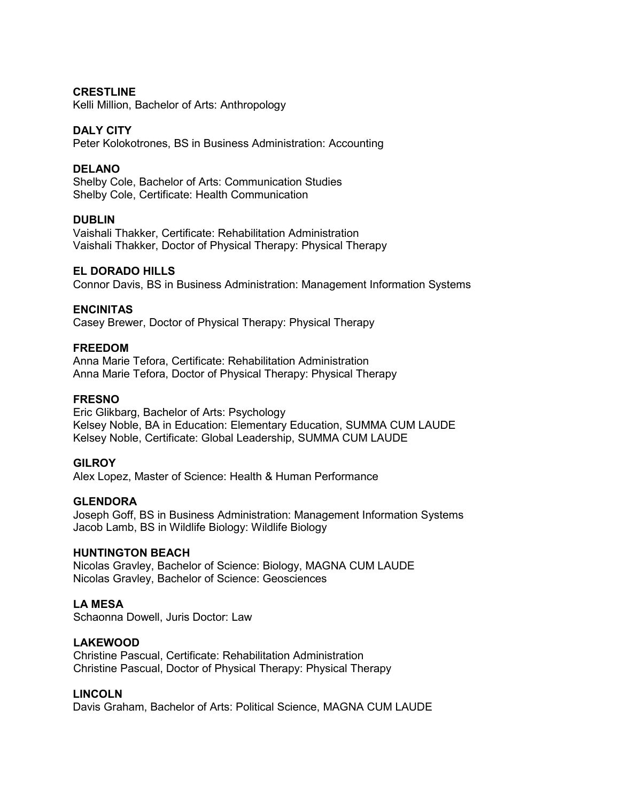## **CRESTLINE**

Kelli Million, Bachelor of Arts: Anthropology

#### **DALY CITY**

Peter Kolokotrones, BS in Business Administration: Accounting

## **DELANO**

Shelby Cole, Bachelor of Arts: Communication Studies Shelby Cole, Certificate: Health Communication

## **DUBLIN**

Vaishali Thakker, Certificate: Rehabilitation Administration Vaishali Thakker, Doctor of Physical Therapy: Physical Therapy

## **EL DORADO HILLS**

Connor Davis, BS in Business Administration: Management Information Systems

#### **ENCINITAS**

Casey Brewer, Doctor of Physical Therapy: Physical Therapy

#### **FREEDOM**

Anna Marie Tefora, Certificate: Rehabilitation Administration Anna Marie Tefora, Doctor of Physical Therapy: Physical Therapy

## **FRESNO**

Eric Glikbarg, Bachelor of Arts: Psychology Kelsey Noble, BA in Education: Elementary Education, SUMMA CUM LAUDE Kelsey Noble, Certificate: Global Leadership, SUMMA CUM LAUDE

#### **GILROY**

Alex Lopez, Master of Science: Health & Human Performance

#### **GLENDORA**

Joseph Goff, BS in Business Administration: Management Information Systems Jacob Lamb, BS in Wildlife Biology: Wildlife Biology

#### **HUNTINGTON BEACH**

Nicolas Gravley, Bachelor of Science: Biology, MAGNA CUM LAUDE Nicolas Gravley, Bachelor of Science: Geosciences

# **LA MESA**

Schaonna Dowell, Juris Doctor: Law

#### **LAKEWOOD**

Christine Pascual, Certificate: Rehabilitation Administration Christine Pascual, Doctor of Physical Therapy: Physical Therapy

#### **LINCOLN**

Davis Graham, Bachelor of Arts: Political Science, MAGNA CUM LAUDE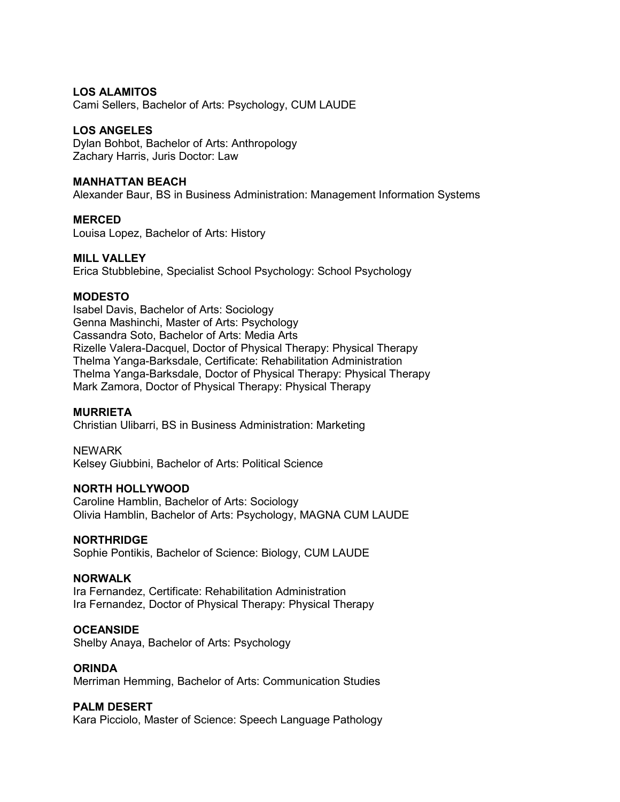## **LOS ALAMITOS**

Cami Sellers, Bachelor of Arts: Psychology, CUM LAUDE

#### **LOS ANGELES**

Dylan Bohbot, Bachelor of Arts: Anthropology Zachary Harris, Juris Doctor: Law

## **MANHATTAN BEACH**

Alexander Baur, BS in Business Administration: Management Information Systems

# **MERCED**

Louisa Lopez, Bachelor of Arts: History

## **MILL VALLEY**

Erica Stubblebine, Specialist School Psychology: School Psychology

## **MODESTO**

Isabel Davis, Bachelor of Arts: Sociology Genna Mashinchi, Master of Arts: Psychology Cassandra Soto, Bachelor of Arts: Media Arts Rizelle Valera-Dacquel, Doctor of Physical Therapy: Physical Therapy Thelma Yanga-Barksdale, Certificate: Rehabilitation Administration Thelma Yanga-Barksdale, Doctor of Physical Therapy: Physical Therapy Mark Zamora, Doctor of Physical Therapy: Physical Therapy

#### **MURRIETA**

Christian Ulibarri, BS in Business Administration: Marketing

#### NEWARK

Kelsey Giubbini, Bachelor of Arts: Political Science

#### **NORTH HOLLYWOOD**

Caroline Hamblin, Bachelor of Arts: Sociology Olivia Hamblin, Bachelor of Arts: Psychology, MAGNA CUM LAUDE

#### **NORTHRIDGE**

Sophie Pontikis, Bachelor of Science: Biology, CUM LAUDE

#### **NORWALK**

Ira Fernandez, Certificate: Rehabilitation Administration Ira Fernandez, Doctor of Physical Therapy: Physical Therapy

#### **OCEANSIDE**

Shelby Anaya, Bachelor of Arts: Psychology

# **ORINDA**

Merriman Hemming, Bachelor of Arts: Communication Studies

#### **PALM DESERT**

Kara Picciolo, Master of Science: Speech Language Pathology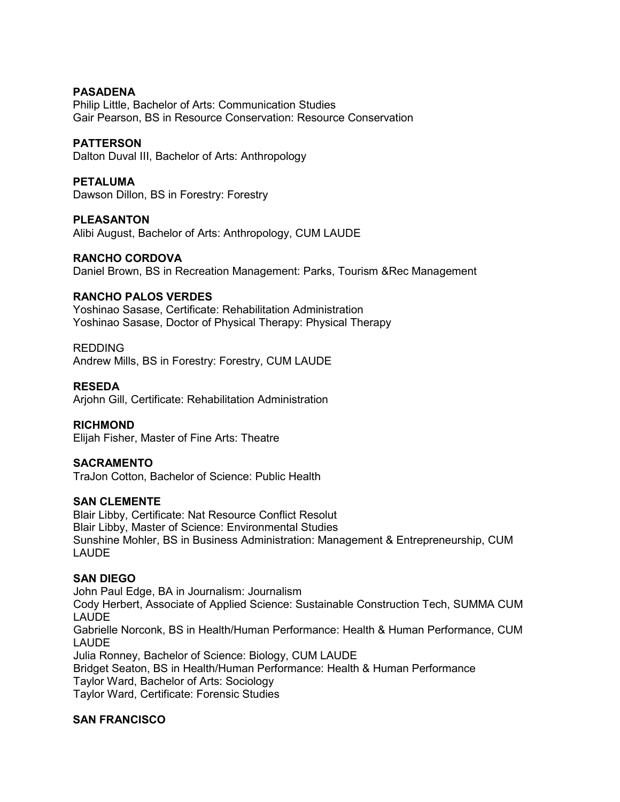## **PASADENA**

Philip Little, Bachelor of Arts: Communication Studies Gair Pearson, BS in Resource Conservation: Resource Conservation

# **PATTERSON**

Dalton Duval III, Bachelor of Arts: Anthropology

## **PETALUMA**

Dawson Dillon, BS in Forestry: Forestry

# **PLEASANTON**

Alibi August, Bachelor of Arts: Anthropology, CUM LAUDE

## **RANCHO CORDOVA**

Daniel Brown, BS in Recreation Management: Parks, Tourism &Rec Management

## **RANCHO PALOS VERDES**

Yoshinao Sasase, Certificate: Rehabilitation Administration Yoshinao Sasase, Doctor of Physical Therapy: Physical Therapy

## REDDING

Andrew Mills, BS in Forestry: Forestry, CUM LAUDE

## **RESEDA**

Arjohn Gill, Certificate: Rehabilitation Administration

#### **RICHMOND**

Elijah Fisher, Master of Fine Arts: Theatre

#### **SACRAMENTO**

TraJon Cotton, Bachelor of Science: Public Health

#### **SAN CLEMENTE**

Blair Libby, Certificate: Nat Resource Conflict Resolut Blair Libby, Master of Science: Environmental Studies Sunshine Mohler, BS in Business Administration: Management & Entrepreneurship, CUM LAUDE

#### **SAN DIEGO**

John Paul Edge, BA in Journalism: Journalism Cody Herbert, Associate of Applied Science: Sustainable Construction Tech, SUMMA CUM LAUDE Gabrielle Norconk, BS in Health/Human Performance: Health & Human Performance, CUM LAUDE Julia Ronney, Bachelor of Science: Biology, CUM LAUDE Bridget Seaton, BS in Health/Human Performance: Health & Human Performance Taylor Ward, Bachelor of Arts: Sociology Taylor Ward, Certificate: Forensic Studies

#### **SAN FRANCISCO**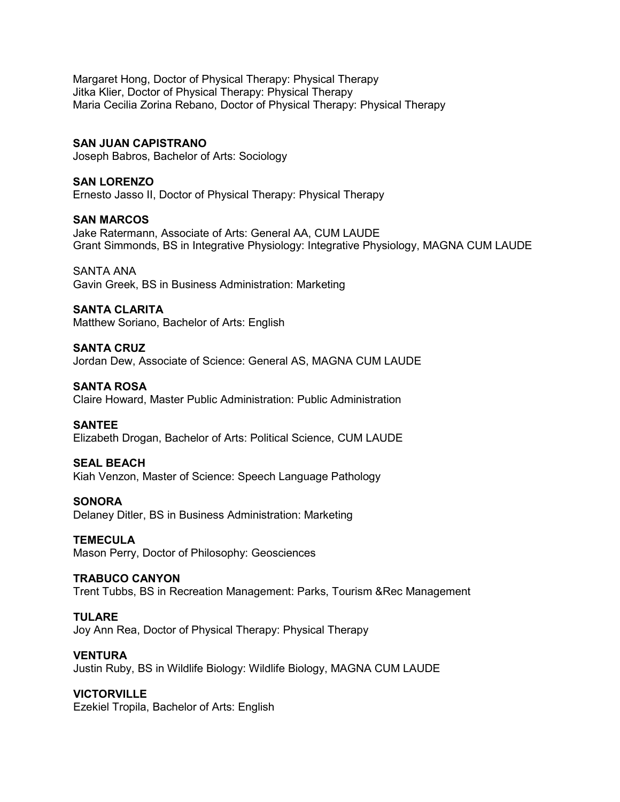Margaret Hong, Doctor of Physical Therapy: Physical Therapy Jitka Klier, Doctor of Physical Therapy: Physical Therapy Maria Cecilia Zorina Rebano, Doctor of Physical Therapy: Physical Therapy

#### **SAN JUAN CAPISTRANO**

Joseph Babros, Bachelor of Arts: Sociology

## **SAN LORENZO**

Ernesto Jasso II, Doctor of Physical Therapy: Physical Therapy

#### **SAN MARCOS**

Jake Ratermann, Associate of Arts: General AA, CUM LAUDE Grant Simmonds, BS in Integrative Physiology: Integrative Physiology, MAGNA CUM LAUDE

SANTA ANA Gavin Greek, BS in Business Administration: Marketing

#### **SANTA CLARITA**

Matthew Soriano, Bachelor of Arts: English

#### **SANTA CRUZ**

Jordan Dew, Associate of Science: General AS, MAGNA CUM LAUDE

#### **SANTA ROSA**

Claire Howard, Master Public Administration: Public Administration

#### **SANTEE**

Elizabeth Drogan, Bachelor of Arts: Political Science, CUM LAUDE

#### **SEAL BEACH**

Kiah Venzon, Master of Science: Speech Language Pathology

#### **SONORA**

Delaney Ditler, BS in Business Administration: Marketing

#### **TEMECULA**

Mason Perry, Doctor of Philosophy: Geosciences

#### **TRABUCO CANYON**

Trent Tubbs, BS in Recreation Management: Parks, Tourism &Rec Management

## **TULARE**

Joy Ann Rea, Doctor of Physical Therapy: Physical Therapy

#### **VENTURA**

Justin Ruby, BS in Wildlife Biology: Wildlife Biology, MAGNA CUM LAUDE

#### **VICTORVILLE**

Ezekiel Tropila, Bachelor of Arts: English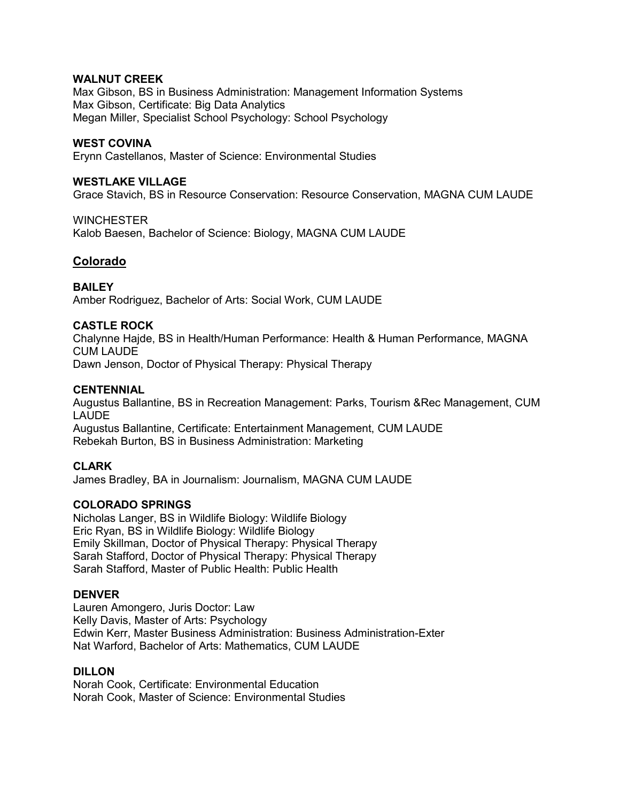## **WALNUT CREEK**

Max Gibson, BS in Business Administration: Management Information Systems Max Gibson, Certificate: Big Data Analytics Megan Miller, Specialist School Psychology: School Psychology

## **WEST COVINA**

Erynn Castellanos, Master of Science: Environmental Studies

## **WESTLAKE VILLAGE**

Grace Stavich, BS in Resource Conservation: Resource Conservation, MAGNA CUM LAUDE

## **WINCHESTER**

Kalob Baesen, Bachelor of Science: Biology, MAGNA CUM LAUDE

# **Colorado**

**BAILEY** Amber Rodriguez, Bachelor of Arts: Social Work, CUM LAUDE

# **CASTLE ROCK**

Chalynne Hajde, BS in Health/Human Performance: Health & Human Performance, MAGNA CUM LAUDE

Dawn Jenson, Doctor of Physical Therapy: Physical Therapy

## **CENTENNIAL**

Augustus Ballantine, BS in Recreation Management: Parks, Tourism &Rec Management, CUM LAUDE

Augustus Ballantine, Certificate: Entertainment Management, CUM LAUDE Rebekah Burton, BS in Business Administration: Marketing

# **CLARK**

James Bradley, BA in Journalism: Journalism, MAGNA CUM LAUDE

# **COLORADO SPRINGS**

Nicholas Langer, BS in Wildlife Biology: Wildlife Biology Eric Ryan, BS in Wildlife Biology: Wildlife Biology Emily Skillman, Doctor of Physical Therapy: Physical Therapy Sarah Stafford, Doctor of Physical Therapy: Physical Therapy Sarah Stafford, Master of Public Health: Public Health

#### **DENVER**

Lauren Amongero, Juris Doctor: Law Kelly Davis, Master of Arts: Psychology Edwin Kerr, Master Business Administration: Business Administration-Exter Nat Warford, Bachelor of Arts: Mathematics, CUM LAUDE

#### **DILLON**

Norah Cook, Certificate: Environmental Education Norah Cook, Master of Science: Environmental Studies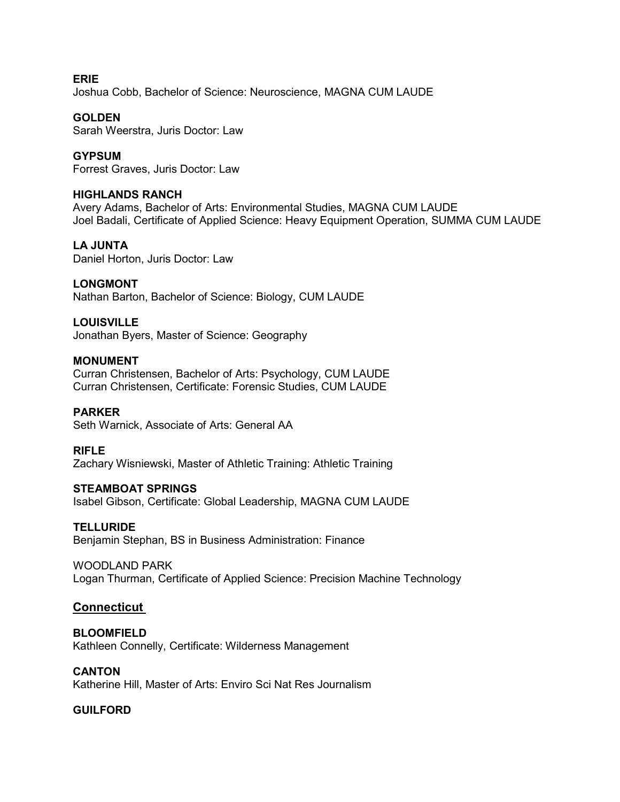**ERIE** Joshua Cobb, Bachelor of Science: Neuroscience, MAGNA CUM LAUDE

# **GOLDEN**

Sarah Weerstra, Juris Doctor: Law

# **GYPSUM**

Forrest Graves, Juris Doctor: Law

# **HIGHLANDS RANCH**

Avery Adams, Bachelor of Arts: Environmental Studies, MAGNA CUM LAUDE Joel Badali, Certificate of Applied Science: Heavy Equipment Operation, SUMMA CUM LAUDE

# **LA JUNTA**

Daniel Horton, Juris Doctor: Law

# **LONGMONT**

Nathan Barton, Bachelor of Science: Biology, CUM LAUDE

# **LOUISVILLE**

Jonathan Byers, Master of Science: Geography

## **MONUMENT**

Curran Christensen, Bachelor of Arts: Psychology, CUM LAUDE Curran Christensen, Certificate: Forensic Studies, CUM LAUDE

# **PARKER**

Seth Warnick, Associate of Arts: General AA

# **RIFLE**

Zachary Wisniewski, Master of Athletic Training: Athletic Training

# **STEAMBOAT SPRINGS**

Isabel Gibson, Certificate: Global Leadership, MAGNA CUM LAUDE

#### **TELLURIDE**

Benjamin Stephan, BS in Business Administration: Finance

# WOODLAND PARK

Logan Thurman, Certificate of Applied Science: Precision Machine Technology

# **Connecticut**

# **BLOOMFIELD**

Kathleen Connelly, Certificate: Wilderness Management

# **CANTON**

Katherine Hill, Master of Arts: Enviro Sci Nat Res Journalism

# **GUILFORD**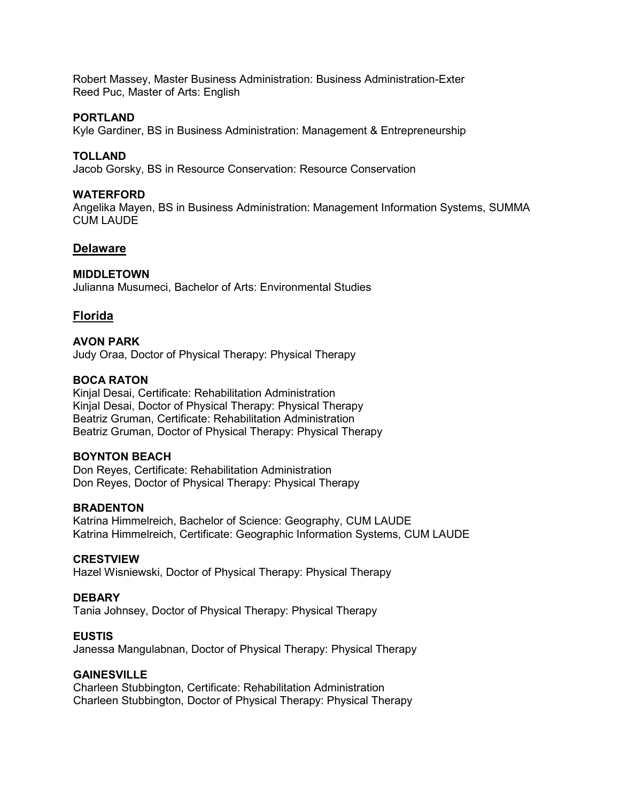Robert Massey, Master Business Administration: Business Administration-Exter Reed Puc, Master of Arts: English

## **PORTLAND**

Kyle Gardiner, BS in Business Administration: Management & Entrepreneurship

# **TOLLAND**

Jacob Gorsky, BS in Resource Conservation: Resource Conservation

## **WATERFORD**

Angelika Mayen, BS in Business Administration: Management Information Systems, SUMMA CUM LAUDE

## **Delaware**

#### **MIDDLETOWN**

Julianna Musumeci, Bachelor of Arts: Environmental Studies

# **Florida**

#### **AVON PARK**

Judy Oraa, Doctor of Physical Therapy: Physical Therapy

## **BOCA RATON**

Kinjal Desai, Certificate: Rehabilitation Administration Kinjal Desai, Doctor of Physical Therapy: Physical Therapy Beatriz Gruman, Certificate: Rehabilitation Administration Beatriz Gruman, Doctor of Physical Therapy: Physical Therapy

## **BOYNTON BEACH**

Don Reyes, Certificate: Rehabilitation Administration Don Reyes, Doctor of Physical Therapy: Physical Therapy

#### **BRADENTON**

Katrina Himmelreich, Bachelor of Science: Geography, CUM LAUDE Katrina Himmelreich, Certificate: Geographic Information Systems, CUM LAUDE

#### **CRESTVIEW**

Hazel Wisniewski, Doctor of Physical Therapy: Physical Therapy

# **DEBARY**

Tania Johnsey, Doctor of Physical Therapy: Physical Therapy

#### **EUSTIS**

Janessa Mangulabnan, Doctor of Physical Therapy: Physical Therapy

# **GAINESVILLE**

Charleen Stubbington, Certificate: Rehabilitation Administration Charleen Stubbington, Doctor of Physical Therapy: Physical Therapy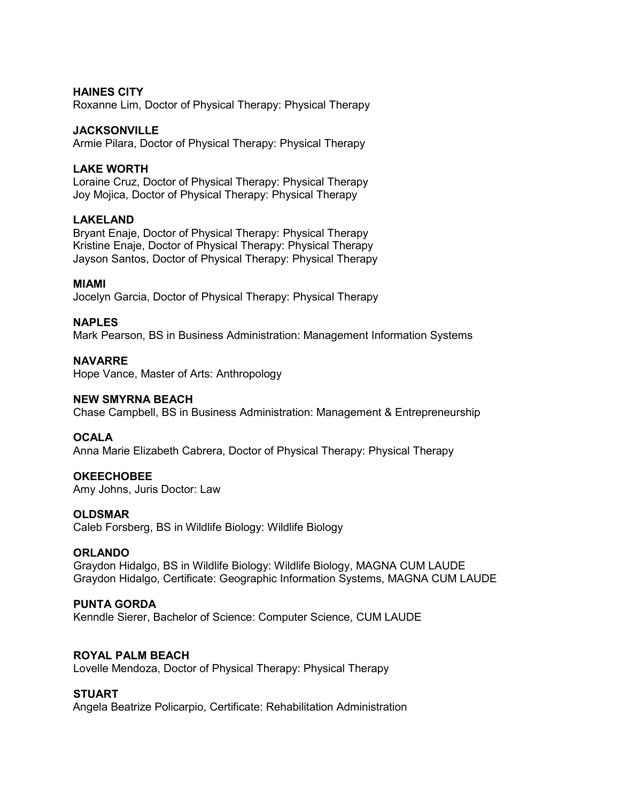#### **HAINES CITY**

Roxanne Lim, Doctor of Physical Therapy: Physical Therapy

#### **JACKSONVILLE**

Armie Pilara, Doctor of Physical Therapy: Physical Therapy

## **LAKE WORTH**

Loraine Cruz, Doctor of Physical Therapy: Physical Therapy Joy Mojica, Doctor of Physical Therapy: Physical Therapy

## **LAKELAND**

Bryant Enaje, Doctor of Physical Therapy: Physical Therapy Kristine Enaje, Doctor of Physical Therapy: Physical Therapy Jayson Santos, Doctor of Physical Therapy: Physical Therapy

#### **MIAMI**

Jocelyn Garcia, Doctor of Physical Therapy: Physical Therapy

## **NAPLES**

Mark Pearson, BS in Business Administration: Management Information Systems

## **NAVARRE**

Hope Vance, Master of Arts: Anthropology

#### **NEW SMYRNA BEACH**

Chase Campbell, BS in Business Administration: Management & Entrepreneurship

# **OCALA**

Anna Marie Elizabeth Cabrera, Doctor of Physical Therapy: Physical Therapy

#### **OKEECHOBEE**

Amy Johns, Juris Doctor: Law

#### **OLDSMAR**

Caleb Forsberg, BS in Wildlife Biology: Wildlife Biology

#### **ORLANDO**

Graydon Hidalgo, BS in Wildlife Biology: Wildlife Biology, MAGNA CUM LAUDE Graydon Hidalgo, Certificate: Geographic Information Systems, MAGNA CUM LAUDE

# **PUNTA GORDA**

Kenndle Sierer, Bachelor of Science: Computer Science, CUM LAUDE

#### **ROYAL PALM BEACH**

Lovelle Mendoza, Doctor of Physical Therapy: Physical Therapy

#### **STUART**

Angela Beatrize Policarpio, Certificate: Rehabilitation Administration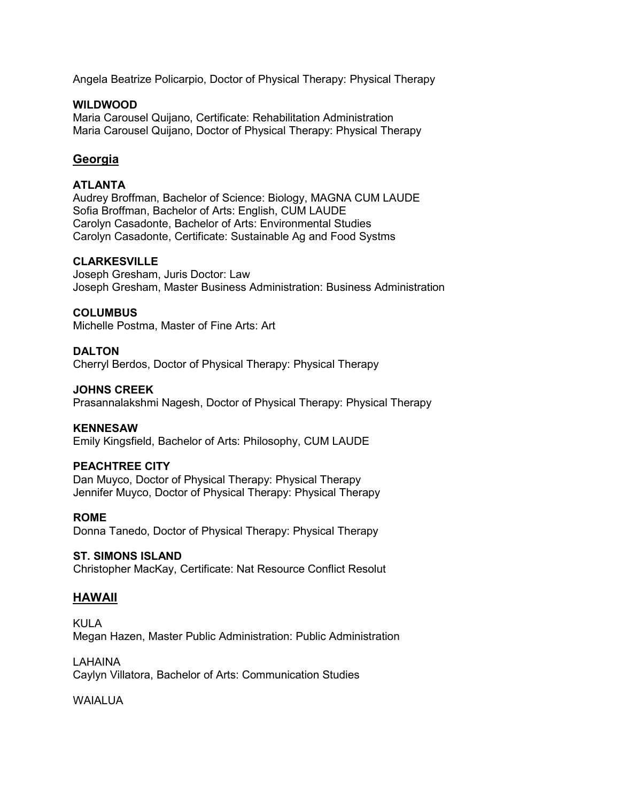Angela Beatrize Policarpio, Doctor of Physical Therapy: Physical Therapy

## **WILDWOOD**

Maria Carousel Quijano, Certificate: Rehabilitation Administration Maria Carousel Quijano, Doctor of Physical Therapy: Physical Therapy

# **Georgia**

# **ATLANTA**

Audrey Broffman, Bachelor of Science: Biology, MAGNA CUM LAUDE Sofia Broffman, Bachelor of Arts: English, CUM LAUDE Carolyn Casadonte, Bachelor of Arts: Environmental Studies Carolyn Casadonte, Certificate: Sustainable Ag and Food Systms

## **CLARKESVILLE**

Joseph Gresham, Juris Doctor: Law Joseph Gresham, Master Business Administration: Business Administration

#### **COLUMBUS**

Michelle Postma, Master of Fine Arts: Art

## **DALTON**

Cherryl Berdos, Doctor of Physical Therapy: Physical Therapy

#### **JOHNS CREEK**

Prasannalakshmi Nagesh, Doctor of Physical Therapy: Physical Therapy

#### **KENNESAW**

Emily Kingsfield, Bachelor of Arts: Philosophy, CUM LAUDE

#### **PEACHTREE CITY**

Dan Muyco, Doctor of Physical Therapy: Physical Therapy Jennifer Muyco, Doctor of Physical Therapy: Physical Therapy

#### **ROME**

Donna Tanedo, Doctor of Physical Therapy: Physical Therapy

#### **ST. SIMONS ISLAND**

Christopher MacKay, Certificate: Nat Resource Conflict Resolut

# **HAWAII**

KULA Megan Hazen, Master Public Administration: Public Administration

LAHAINA Caylyn Villatora, Bachelor of Arts: Communication Studies

WAIAI UA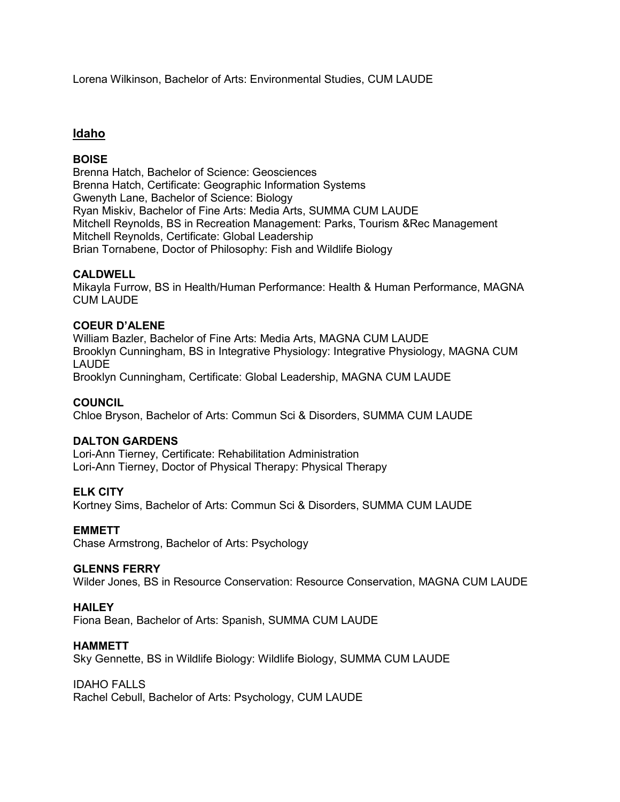Lorena Wilkinson, Bachelor of Arts: Environmental Studies, CUM LAUDE

# **Idaho**

# **BOISE**

Brenna Hatch, Bachelor of Science: Geosciences Brenna Hatch, Certificate: Geographic Information Systems Gwenyth Lane, Bachelor of Science: Biology Ryan Miskiv, Bachelor of Fine Arts: Media Arts, SUMMA CUM LAUDE Mitchell Reynolds, BS in Recreation Management: Parks, Tourism &Rec Management Mitchell Reynolds, Certificate: Global Leadership Brian Tornabene, Doctor of Philosophy: Fish and Wildlife Biology

## **CALDWELL**

Mikayla Furrow, BS in Health/Human Performance: Health & Human Performance, MAGNA CUM LAUDE

## **COEUR D'ALENE**

William Bazler, Bachelor of Fine Arts: Media Arts, MAGNA CUM LAUDE Brooklyn Cunningham, BS in Integrative Physiology: Integrative Physiology, MAGNA CUM LAUDE Brooklyn Cunningham, Certificate: Global Leadership, MAGNA CUM LAUDE

#### **COUNCIL**

Chloe Bryson, Bachelor of Arts: Commun Sci & Disorders, SUMMA CUM LAUDE

#### **DALTON GARDENS**

Lori-Ann Tierney, Certificate: Rehabilitation Administration Lori-Ann Tierney, Doctor of Physical Therapy: Physical Therapy

# **ELK CITY**

Kortney Sims, Bachelor of Arts: Commun Sci & Disorders, SUMMA CUM LAUDE

# **EMMETT**

Chase Armstrong, Bachelor of Arts: Psychology

#### **GLENNS FERRY**

Wilder Jones, BS in Resource Conservation: Resource Conservation, MAGNA CUM LAUDE

# **HAILEY**

Fiona Bean, Bachelor of Arts: Spanish, SUMMA CUM LAUDE

## **HAMMETT**

Sky Gennette, BS in Wildlife Biology: Wildlife Biology, SUMMA CUM LAUDE

#### IDAHO FALLS

Rachel Cebull, Bachelor of Arts: Psychology, CUM LAUDE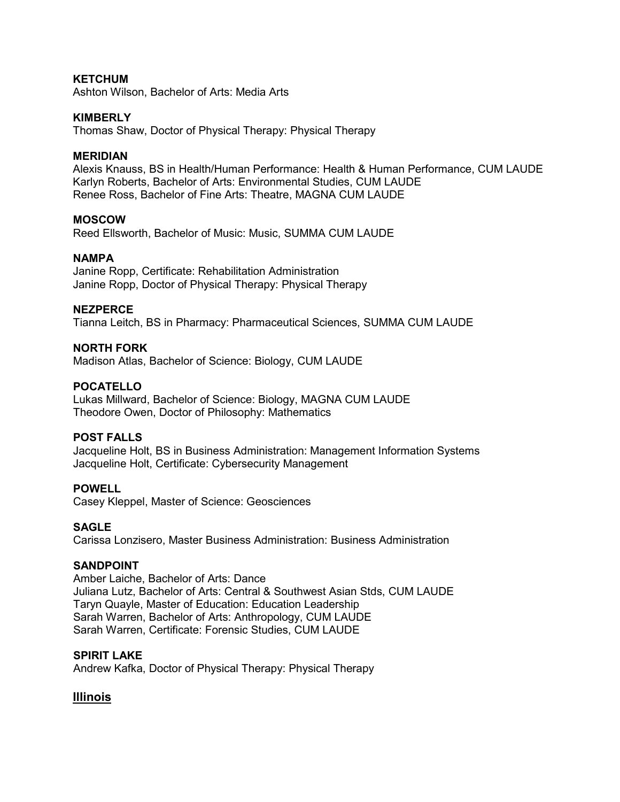## **KETCHUM**

Ashton Wilson, Bachelor of Arts: Media Arts

#### **KIMBERLY**

Thomas Shaw, Doctor of Physical Therapy: Physical Therapy

#### **MERIDIAN**

Alexis Knauss, BS in Health/Human Performance: Health & Human Performance, CUM LAUDE Karlyn Roberts, Bachelor of Arts: Environmental Studies, CUM LAUDE Renee Ross, Bachelor of Fine Arts: Theatre, MAGNA CUM LAUDE

#### **MOSCOW**

Reed Ellsworth, Bachelor of Music: Music, SUMMA CUM LAUDE

#### **NAMPA**

Janine Ropp, Certificate: Rehabilitation Administration Janine Ropp, Doctor of Physical Therapy: Physical Therapy

#### **NEZPERCE**

Tianna Leitch, BS in Pharmacy: Pharmaceutical Sciences, SUMMA CUM LAUDE

## **NORTH FORK**

Madison Atlas, Bachelor of Science: Biology, CUM LAUDE

#### **POCATELLO**

Lukas Millward, Bachelor of Science: Biology, MAGNA CUM LAUDE Theodore Owen, Doctor of Philosophy: Mathematics

#### **POST FALLS**

Jacqueline Holt, BS in Business Administration: Management Information Systems Jacqueline Holt, Certificate: Cybersecurity Management

#### **POWELL**

Casey Kleppel, Master of Science: Geosciences

#### **SAGLE**

Carissa Lonzisero, Master Business Administration: Business Administration

#### **SANDPOINT**

Amber Laiche, Bachelor of Arts: Dance Juliana Lutz, Bachelor of Arts: Central & Southwest Asian Stds, CUM LAUDE Taryn Quayle, Master of Education: Education Leadership Sarah Warren, Bachelor of Arts: Anthropology, CUM LAUDE Sarah Warren, Certificate: Forensic Studies, CUM LAUDE

#### **SPIRIT LAKE**

Andrew Kafka, Doctor of Physical Therapy: Physical Therapy

# **Illinois**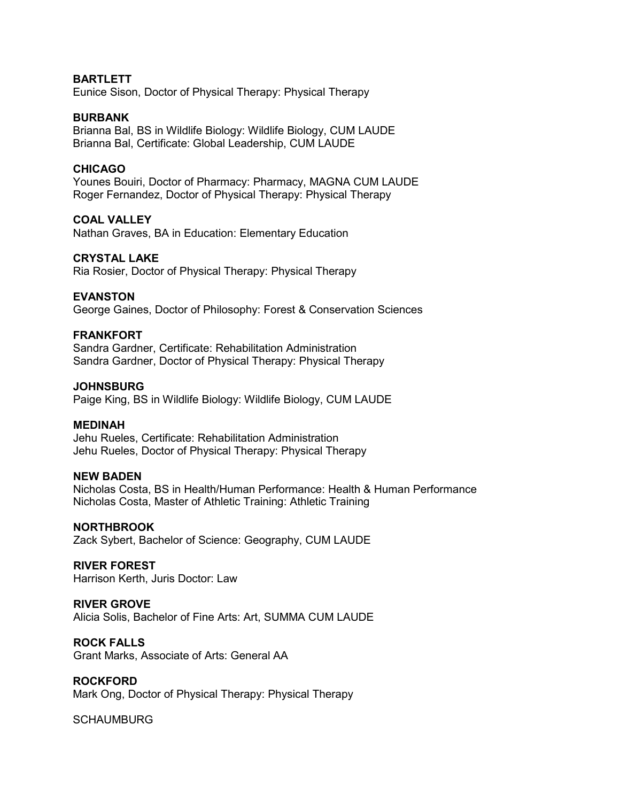#### **BARTLETT**

Eunice Sison, Doctor of Physical Therapy: Physical Therapy

#### **BURBANK**

Brianna Bal, BS in Wildlife Biology: Wildlife Biology, CUM LAUDE Brianna Bal, Certificate: Global Leadership, CUM LAUDE

#### **CHICAGO**

Younes Bouiri, Doctor of Pharmacy: Pharmacy, MAGNA CUM LAUDE Roger Fernandez, Doctor of Physical Therapy: Physical Therapy

#### **COAL VALLEY**

Nathan Graves, BA in Education: Elementary Education

#### **CRYSTAL LAKE**

Ria Rosier, Doctor of Physical Therapy: Physical Therapy

#### **EVANSTON**

George Gaines, Doctor of Philosophy: Forest & Conservation Sciences

#### **FRANKFORT**

Sandra Gardner, Certificate: Rehabilitation Administration Sandra Gardner, Doctor of Physical Therapy: Physical Therapy

#### **JOHNSBURG**

Paige King, BS in Wildlife Biology: Wildlife Biology, CUM LAUDE

#### **MEDINAH**

Jehu Rueles, Certificate: Rehabilitation Administration Jehu Rueles, Doctor of Physical Therapy: Physical Therapy

#### **NEW BADEN**

Nicholas Costa, BS in Health/Human Performance: Health & Human Performance Nicholas Costa, Master of Athletic Training: Athletic Training

#### **NORTHBROOK**

Zack Sybert, Bachelor of Science: Geography, CUM LAUDE

#### **RIVER FOREST**

Harrison Kerth, Juris Doctor: Law

## **RIVER GROVE**

Alicia Solis, Bachelor of Fine Arts: Art, SUMMA CUM LAUDE

#### **ROCK FALLS**

Grant Marks, Associate of Arts: General AA

#### **ROCKFORD**

Mark Ong, Doctor of Physical Therapy: Physical Therapy

#### **SCHAUMBURG**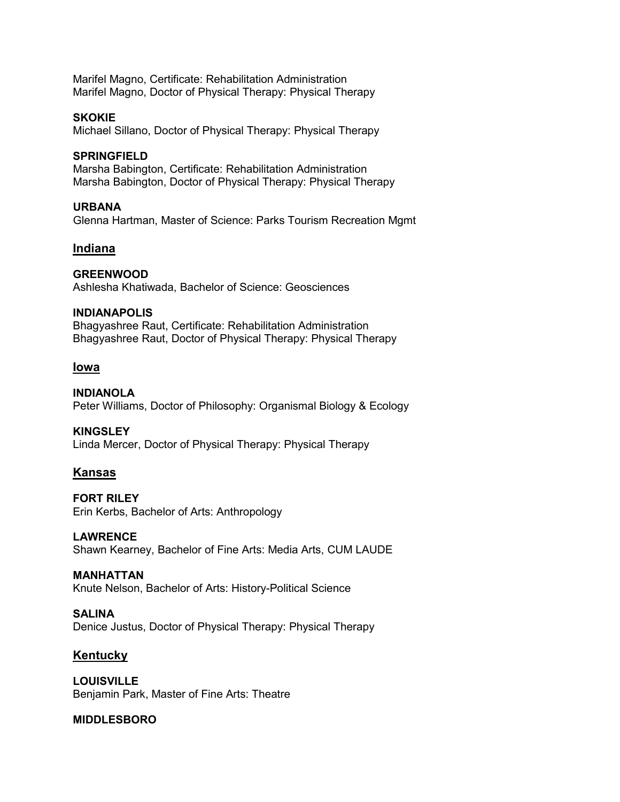Marifel Magno, Certificate: Rehabilitation Administration Marifel Magno, Doctor of Physical Therapy: Physical Therapy

## **SKOKIE**

Michael Sillano, Doctor of Physical Therapy: Physical Therapy

## **SPRINGFIELD**

Marsha Babington, Certificate: Rehabilitation Administration Marsha Babington, Doctor of Physical Therapy: Physical Therapy

## **URBANA**

Glenna Hartman, Master of Science: Parks Tourism Recreation Mgmt

# **Indiana**

**GREENWOOD** Ashlesha Khatiwada, Bachelor of Science: Geosciences

#### **INDIANAPOLIS**

Bhagyashree Raut, Certificate: Rehabilitation Administration Bhagyashree Raut, Doctor of Physical Therapy: Physical Therapy

# **Iowa**

**INDIANOLA** Peter Williams, Doctor of Philosophy: Organismal Biology & Ecology

#### **KINGSLEY**

Linda Mercer, Doctor of Physical Therapy: Physical Therapy

# **Kansas**

**FORT RILEY** Erin Kerbs, Bachelor of Arts: Anthropology

# **LAWRENCE**

Shawn Kearney, Bachelor of Fine Arts: Media Arts, CUM LAUDE

#### **MANHATTAN**

Knute Nelson, Bachelor of Arts: History-Political Science

#### **SALINA**

Denice Justus, Doctor of Physical Therapy: Physical Therapy

# **Kentucky**

**LOUISVILLE** Benjamin Park, Master of Fine Arts: Theatre

# **MIDDLESBORO**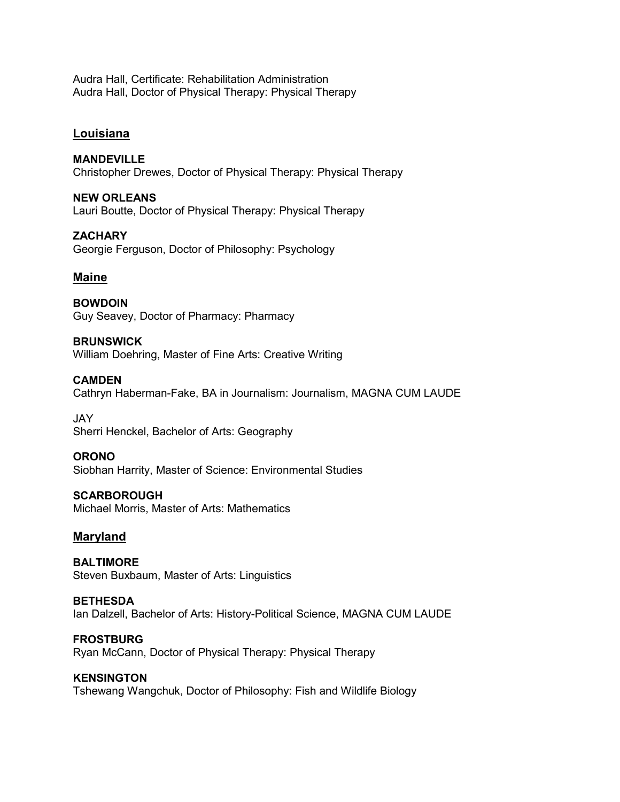Audra Hall, Certificate: Rehabilitation Administration Audra Hall, Doctor of Physical Therapy: Physical Therapy

# **Louisiana**

# **MANDEVILLE** Christopher Drewes, Doctor of Physical Therapy: Physical Therapy

**NEW ORLEANS** Lauri Boutte, Doctor of Physical Therapy: Physical Therapy

**ZACHARY** Georgie Ferguson, Doctor of Philosophy: Psychology

# **Maine**

**BOWDOIN** Guy Seavey, Doctor of Pharmacy: Pharmacy

**BRUNSWICK**

William Doehring, Master of Fine Arts: Creative Writing

# **CAMDEN**

Cathryn Haberman-Fake, BA in Journalism: Journalism, MAGNA CUM LAUDE

JAY Sherri Henckel, Bachelor of Arts: Geography

# **ORONO**

Siobhan Harrity, Master of Science: Environmental Studies

**SCARBOROUGH**

Michael Morris, Master of Arts: Mathematics

# **Maryland**

**BALTIMORE** Steven Buxbaum, Master of Arts: Linguistics

**BETHESDA** Ian Dalzell, Bachelor of Arts: History-Political Science, MAGNA CUM LAUDE

**FROSTBURG** Ryan McCann, Doctor of Physical Therapy: Physical Therapy

#### **KENSINGTON**

Tshewang Wangchuk, Doctor of Philosophy: Fish and Wildlife Biology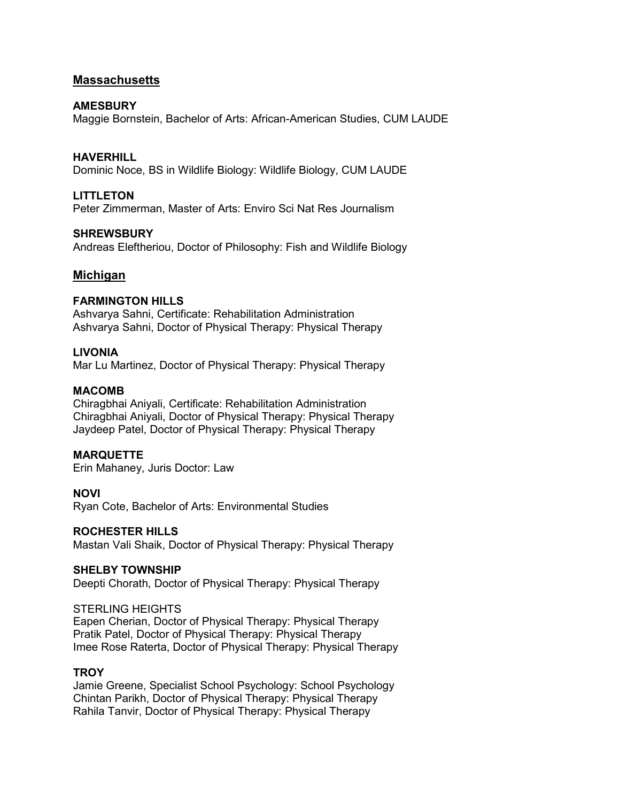# **Massachusetts**

## **AMESBURY**

Maggie Bornstein, Bachelor of Arts: African-American Studies, CUM LAUDE

# **HAVERHILL**

Dominic Noce, BS in Wildlife Biology: Wildlife Biology, CUM LAUDE

## **LITTLETON**

Peter Zimmerman, Master of Arts: Enviro Sci Nat Res Journalism

## **SHREWSBURY**

Andreas Eleftheriou, Doctor of Philosophy: Fish and Wildlife Biology

# **Michigan**

# **FARMINGTON HILLS**

Ashvarya Sahni, Certificate: Rehabilitation Administration Ashvarya Sahni, Doctor of Physical Therapy: Physical Therapy

# **LIVONIA**

Mar Lu Martinez, Doctor of Physical Therapy: Physical Therapy

## **MACOMB**

Chiragbhai Aniyali, Certificate: Rehabilitation Administration Chiragbhai Aniyali, Doctor of Physical Therapy: Physical Therapy Jaydeep Patel, Doctor of Physical Therapy: Physical Therapy

# **MARQUETTE**

Erin Mahaney, Juris Doctor: Law

#### **NOVI** Ryan Cote, Bachelor of Arts: Environmental Studies

# **ROCHESTER HILLS**

Mastan Vali Shaik, Doctor of Physical Therapy: Physical Therapy

#### **SHELBY TOWNSHIP**

Deepti Chorath, Doctor of Physical Therapy: Physical Therapy

## STERLING HEIGHTS

Eapen Cherian, Doctor of Physical Therapy: Physical Therapy Pratik Patel, Doctor of Physical Therapy: Physical Therapy Imee Rose Raterta, Doctor of Physical Therapy: Physical Therapy

#### **TROY**

Jamie Greene, Specialist School Psychology: School Psychology Chintan Parikh, Doctor of Physical Therapy: Physical Therapy Rahila Tanvir, Doctor of Physical Therapy: Physical Therapy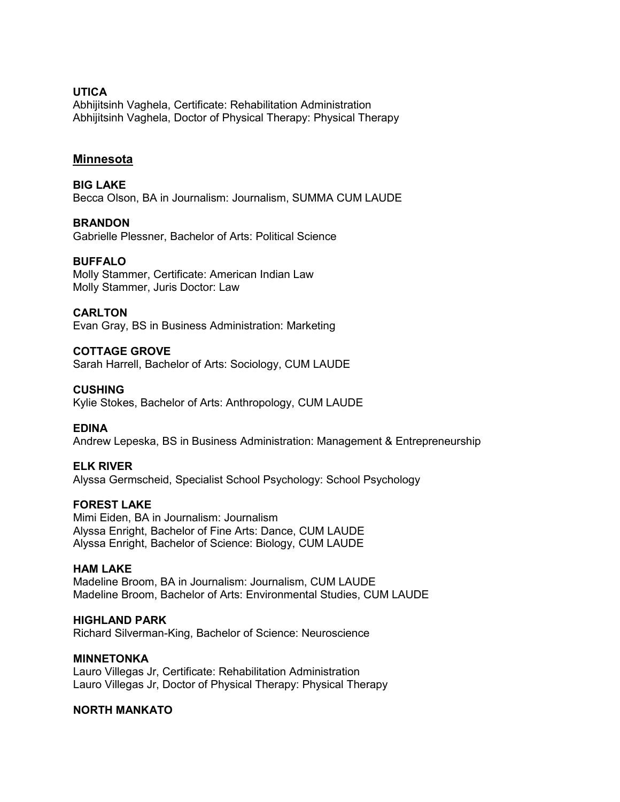## **UTICA**

Abhijitsinh Vaghela, Certificate: Rehabilitation Administration Abhijitsinh Vaghela, Doctor of Physical Therapy: Physical Therapy

# **Minnesota**

**BIG LAKE** Becca Olson, BA in Journalism: Journalism, SUMMA CUM LAUDE

# **BRANDON**

Gabrielle Plessner, Bachelor of Arts: Political Science

#### **BUFFALO**

Molly Stammer, Certificate: American Indian Law Molly Stammer, Juris Doctor: Law

#### **CARLTON**

Evan Gray, BS in Business Administration: Marketing

#### **COTTAGE GROVE**

Sarah Harrell, Bachelor of Arts: Sociology, CUM LAUDE

#### **CUSHING**

Kylie Stokes, Bachelor of Arts: Anthropology, CUM LAUDE

#### **EDINA**

Andrew Lepeska, BS in Business Administration: Management & Entrepreneurship

#### **ELK RIVER**

Alyssa Germscheid, Specialist School Psychology: School Psychology

#### **FOREST LAKE**

Mimi Eiden, BA in Journalism: Journalism Alyssa Enright, Bachelor of Fine Arts: Dance, CUM LAUDE Alyssa Enright, Bachelor of Science: Biology, CUM LAUDE

#### **HAM LAKE**

Madeline Broom, BA in Journalism: Journalism, CUM LAUDE Madeline Broom, Bachelor of Arts: Environmental Studies, CUM LAUDE

#### **HIGHLAND PARK**

Richard Silverman-King, Bachelor of Science: Neuroscience

#### **MINNETONKA**

Lauro Villegas Jr, Certificate: Rehabilitation Administration Lauro Villegas Jr, Doctor of Physical Therapy: Physical Therapy

#### **NORTH MANKATO**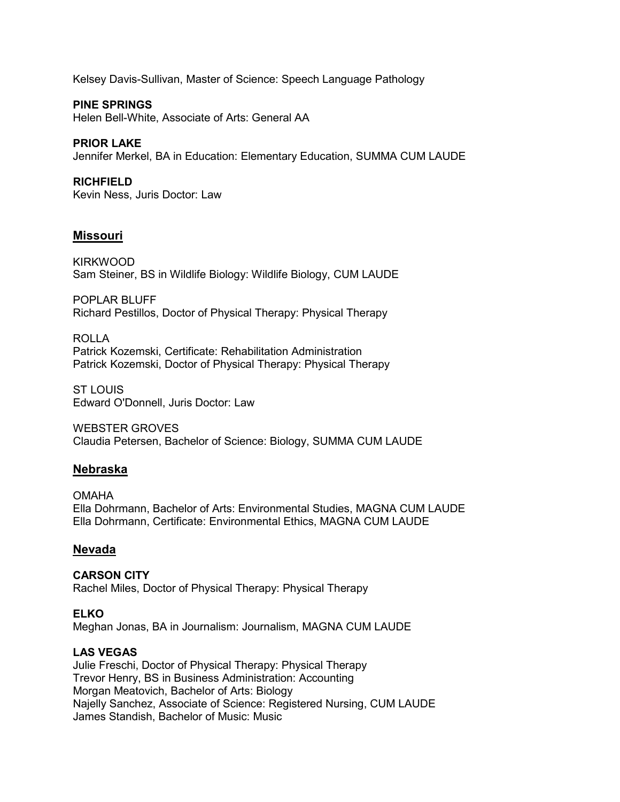Kelsey Davis-Sullivan, Master of Science: Speech Language Pathology

**PINE SPRINGS** Helen Bell-White, Associate of Arts: General AA

**PRIOR LAKE** Jennifer Merkel, BA in Education: Elementary Education, SUMMA CUM LAUDE

**RICHFIELD** Kevin Ness, Juris Doctor: Law

# **Missouri**

KIRKWOOD Sam Steiner, BS in Wildlife Biology: Wildlife Biology, CUM LAUDE

POPLAR BLUFF Richard Pestillos, Doctor of Physical Therapy: Physical Therapy

ROLLA Patrick Kozemski, Certificate: Rehabilitation Administration Patrick Kozemski, Doctor of Physical Therapy: Physical Therapy

ST LOUIS Edward O'Donnell, Juris Doctor: Law

WEBSTER GROVES Claudia Petersen, Bachelor of Science: Biology, SUMMA CUM LAUDE

# **Nebraska**

OMAHA Ella Dohrmann, Bachelor of Arts: Environmental Studies, MAGNA CUM LAUDE Ella Dohrmann, Certificate: Environmental Ethics, MAGNA CUM LAUDE

#### **Nevada**

**CARSON CITY** Rachel Miles, Doctor of Physical Therapy: Physical Therapy

**ELKO** Meghan Jonas, BA in Journalism: Journalism, MAGNA CUM LAUDE

# **LAS VEGAS**

Julie Freschi, Doctor of Physical Therapy: Physical Therapy Trevor Henry, BS in Business Administration: Accounting Morgan Meatovich, Bachelor of Arts: Biology Najelly Sanchez, Associate of Science: Registered Nursing, CUM LAUDE James Standish, Bachelor of Music: Music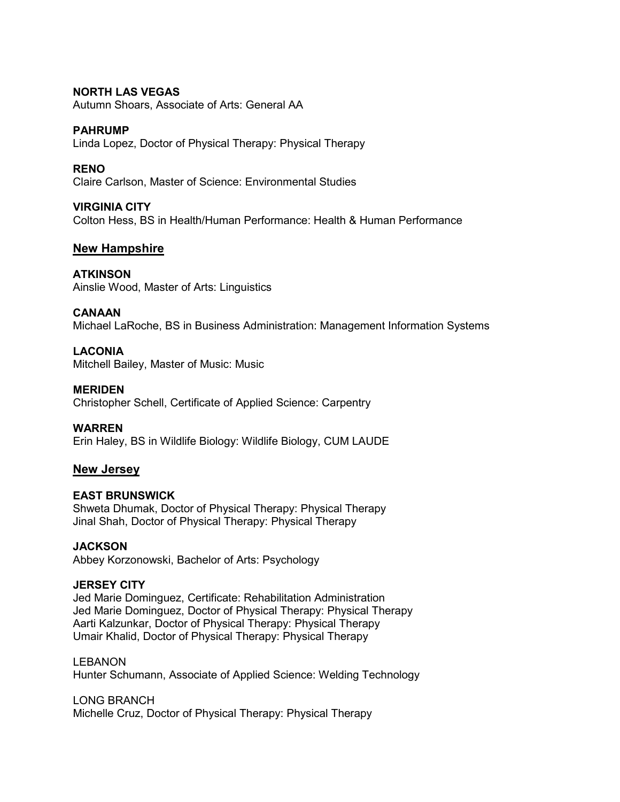## **NORTH LAS VEGAS**

Autumn Shoars, Associate of Arts: General AA

#### **PAHRUMP**

Linda Lopez, Doctor of Physical Therapy: Physical Therapy

## **RENO**

Claire Carlson, Master of Science: Environmental Studies

## **VIRGINIA CITY**

Colton Hess, BS in Health/Human Performance: Health & Human Performance

# **New Hampshire**

## **ATKINSON**

Ainslie Wood, Master of Arts: Linguistics

## **CANAAN**

Michael LaRoche, BS in Business Administration: Management Information Systems

# **LACONIA**

Mitchell Bailey, Master of Music: Music

#### **MERIDEN**

Christopher Schell, Certificate of Applied Science: Carpentry

#### **WARREN**

Erin Haley, BS in Wildlife Biology: Wildlife Biology, CUM LAUDE

# **New Jersey**

# **EAST BRUNSWICK**

Shweta Dhumak, Doctor of Physical Therapy: Physical Therapy Jinal Shah, Doctor of Physical Therapy: Physical Therapy

#### **JACKSON**

Abbey Korzonowski, Bachelor of Arts: Psychology

## **JERSEY CITY**

Jed Marie Dominguez, Certificate: Rehabilitation Administration Jed Marie Dominguez, Doctor of Physical Therapy: Physical Therapy Aarti Kalzunkar, Doctor of Physical Therapy: Physical Therapy Umair Khalid, Doctor of Physical Therapy: Physical Therapy

#### LEBANON

Hunter Schumann, Associate of Applied Science: Welding Technology

LONG BRANCH

Michelle Cruz, Doctor of Physical Therapy: Physical Therapy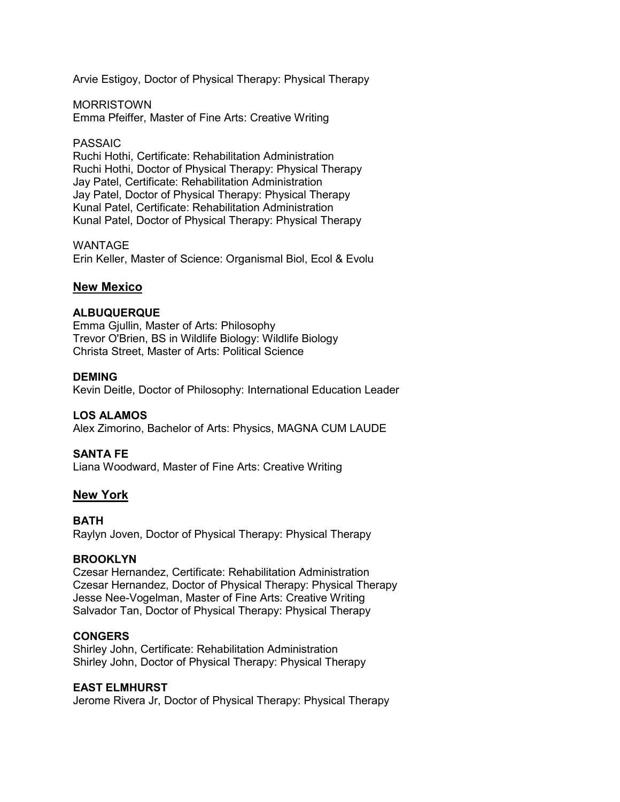Arvie Estigoy, Doctor of Physical Therapy: Physical Therapy

MORRISTOWN Emma Pfeiffer, Master of Fine Arts: Creative Writing

#### PASSAIC

Ruchi Hothi, Certificate: Rehabilitation Administration Ruchi Hothi, Doctor of Physical Therapy: Physical Therapy Jay Patel, Certificate: Rehabilitation Administration Jay Patel, Doctor of Physical Therapy: Physical Therapy Kunal Patel, Certificate: Rehabilitation Administration Kunal Patel, Doctor of Physical Therapy: Physical Therapy

## WANTAGE

Erin Keller, Master of Science: Organismal Biol, Ecol & Evolu

# **New Mexico**

## **ALBUQUERQUE**

Emma Gjullin, Master of Arts: Philosophy Trevor O'Brien, BS in Wildlife Biology: Wildlife Biology Christa Street, Master of Arts: Political Science

#### **DEMING**

Kevin Deitle, Doctor of Philosophy: International Education Leader

#### **LOS ALAMOS**

Alex Zimorino, Bachelor of Arts: Physics, MAGNA CUM LAUDE

#### **SANTA FE**

Liana Woodward, Master of Fine Arts: Creative Writing

#### **New York**

#### **BATH**

Raylyn Joven, Doctor of Physical Therapy: Physical Therapy

#### **BROOKLYN**

Czesar Hernandez, Certificate: Rehabilitation Administration Czesar Hernandez, Doctor of Physical Therapy: Physical Therapy Jesse Nee-Vogelman, Master of Fine Arts: Creative Writing Salvador Tan, Doctor of Physical Therapy: Physical Therapy

#### **CONGERS**

Shirley John, Certificate: Rehabilitation Administration Shirley John, Doctor of Physical Therapy: Physical Therapy

#### **EAST ELMHURST**

Jerome Rivera Jr, Doctor of Physical Therapy: Physical Therapy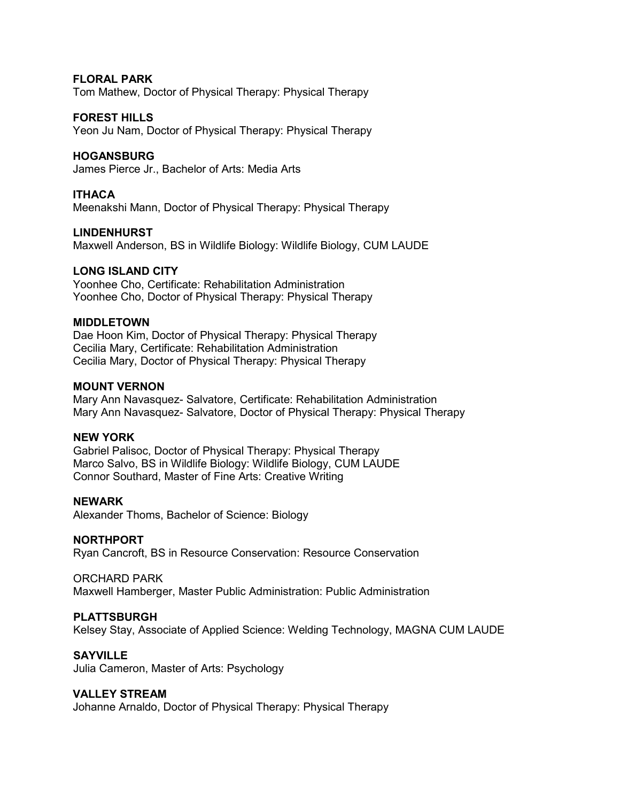## **FLORAL PARK**

Tom Mathew, Doctor of Physical Therapy: Physical Therapy

#### **FOREST HILLS**

Yeon Ju Nam, Doctor of Physical Therapy: Physical Therapy

## **HOGANSBURG**

James Pierce Jr., Bachelor of Arts: Media Arts

## **ITHACA**

Meenakshi Mann, Doctor of Physical Therapy: Physical Therapy

#### **LINDENHURST**

Maxwell Anderson, BS in Wildlife Biology: Wildlife Biology, CUM LAUDE

#### **LONG ISLAND CITY**

Yoonhee Cho, Certificate: Rehabilitation Administration Yoonhee Cho, Doctor of Physical Therapy: Physical Therapy

#### **MIDDLETOWN**

Dae Hoon Kim, Doctor of Physical Therapy: Physical Therapy Cecilia Mary, Certificate: Rehabilitation Administration Cecilia Mary, Doctor of Physical Therapy: Physical Therapy

#### **MOUNT VERNON**

Mary Ann Navasquez- Salvatore, Certificate: Rehabilitation Administration Mary Ann Navasquez- Salvatore, Doctor of Physical Therapy: Physical Therapy

# **NEW YORK**

Gabriel Palisoc, Doctor of Physical Therapy: Physical Therapy Marco Salvo, BS in Wildlife Biology: Wildlife Biology, CUM LAUDE Connor Southard, Master of Fine Arts: Creative Writing

# **NEWARK**

Alexander Thoms, Bachelor of Science: Biology

#### **NORTHPORT**

Ryan Cancroft, BS in Resource Conservation: Resource Conservation

#### ORCHARD PARK

Maxwell Hamberger, Master Public Administration: Public Administration

#### **PLATTSBURGH**

Kelsey Stay, Associate of Applied Science: Welding Technology, MAGNA CUM LAUDE

#### **SAYVILLE**

Julia Cameron, Master of Arts: Psychology

#### **VALLEY STREAM**

Johanne Arnaldo, Doctor of Physical Therapy: Physical Therapy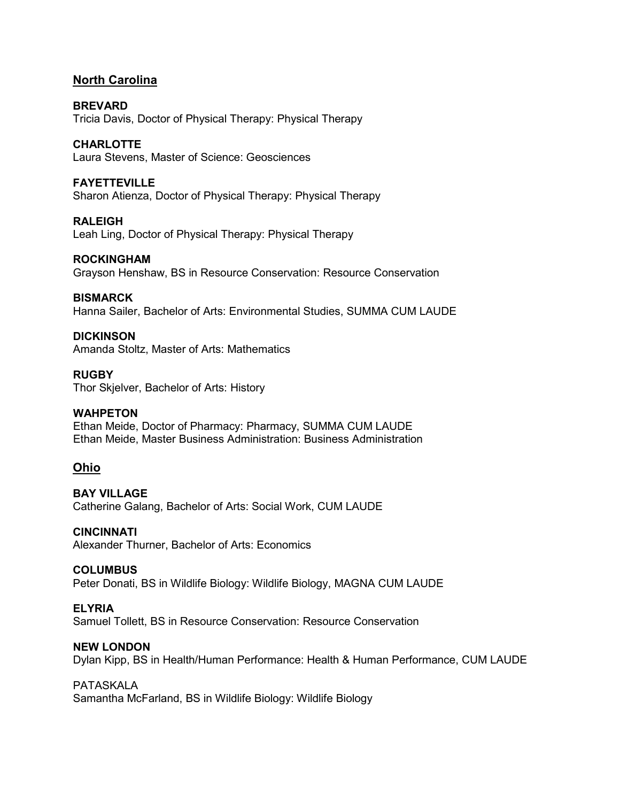# **North Carolina**

**BREVARD** Tricia Davis, Doctor of Physical Therapy: Physical Therapy

**CHARLOTTE** Laura Stevens, Master of Science: Geosciences

#### **FAYETTEVILLE**

Sharon Atienza, Doctor of Physical Therapy: Physical Therapy

**RALEIGH** Leah Ling, Doctor of Physical Therapy: Physical Therapy

**ROCKINGHAM** Grayson Henshaw, BS in Resource Conservation: Resource Conservation

#### **BISMARCK**

Hanna Sailer, Bachelor of Arts: Environmental Studies, SUMMA CUM LAUDE

**DICKINSON** Amanda Stoltz, Master of Arts: Mathematics

**RUGBY** Thor Skjelver, Bachelor of Arts: History

# **WAHPETON**

Ethan Meide, Doctor of Pharmacy: Pharmacy, SUMMA CUM LAUDE Ethan Meide, Master Business Administration: Business Administration

# **Ohio**

**BAY VILLAGE** Catherine Galang, Bachelor of Arts: Social Work, CUM LAUDE

**CINCINNATI**

Alexander Thurner, Bachelor of Arts: Economics

#### **COLUMBUS**

Peter Donati, BS in Wildlife Biology: Wildlife Biology, MAGNA CUM LAUDE

#### **ELYRIA**

Samuel Tollett, BS in Resource Conservation: Resource Conservation

#### **NEW LONDON**

Dylan Kipp, BS in Health/Human Performance: Health & Human Performance, CUM LAUDE

# PATASKALA

Samantha McFarland, BS in Wildlife Biology: Wildlife Biology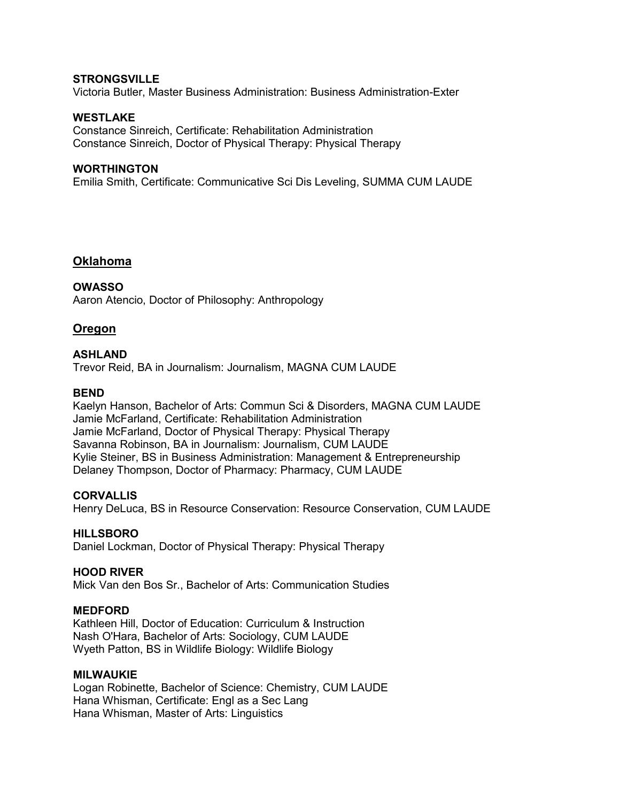#### **STRONGSVILLE**

Victoria Butler, Master Business Administration: Business Administration-Exter

## **WESTLAKE**

Constance Sinreich, Certificate: Rehabilitation Administration Constance Sinreich, Doctor of Physical Therapy: Physical Therapy

#### **WORTHINGTON**

Emilia Smith, Certificate: Communicative Sci Dis Leveling, SUMMA CUM LAUDE

## **Oklahoma**

**OWASSO** Aaron Atencio, Doctor of Philosophy: Anthropology

## **Oregon**

#### **ASHLAND**

Trevor Reid, BA in Journalism: Journalism, MAGNA CUM LAUDE

#### **BEND**

Kaelyn Hanson, Bachelor of Arts: Commun Sci & Disorders, MAGNA CUM LAUDE Jamie McFarland, Certificate: Rehabilitation Administration Jamie McFarland, Doctor of Physical Therapy: Physical Therapy Savanna Robinson, BA in Journalism: Journalism, CUM LAUDE Kylie Steiner, BS in Business Administration: Management & Entrepreneurship Delaney Thompson, Doctor of Pharmacy: Pharmacy, CUM LAUDE

#### **CORVALLIS**

Henry DeLuca, BS in Resource Conservation: Resource Conservation, CUM LAUDE

#### **HILLSBORO**

Daniel Lockman, Doctor of Physical Therapy: Physical Therapy

#### **HOOD RIVER**

Mick Van den Bos Sr., Bachelor of Arts: Communication Studies

#### **MEDFORD**

Kathleen Hill, Doctor of Education: Curriculum & Instruction Nash O'Hara, Bachelor of Arts: Sociology, CUM LAUDE Wyeth Patton, BS in Wildlife Biology: Wildlife Biology

#### **MILWAUKIE**

Logan Robinette, Bachelor of Science: Chemistry, CUM LAUDE Hana Whisman, Certificate: Engl as a Sec Lang Hana Whisman, Master of Arts: Linguistics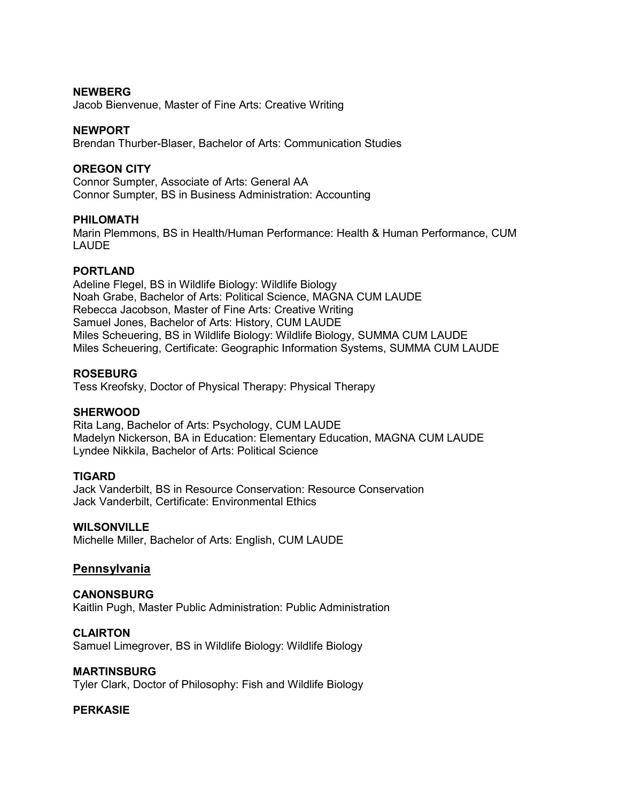#### **NEWBERG**

Jacob Bienvenue, Master of Fine Arts: Creative Writing

#### **NEWPORT**

Brendan Thurber-Blaser, Bachelor of Arts: Communication Studies

#### **OREGON CITY**

Connor Sumpter, Associate of Arts: General AA Connor Sumpter, BS in Business Administration: Accounting

#### **PHILOMATH**

Marin Plemmons, BS in Health/Human Performance: Health & Human Performance, CUM LAUDE

#### **PORTLAND**

Adeline Flegel, BS in Wildlife Biology: Wildlife Biology Noah Grabe, Bachelor of Arts: Political Science, MAGNA CUM LAUDE Rebecca Jacobson, Master of Fine Arts: Creative Writing Samuel Jones, Bachelor of Arts: History, CUM LAUDE Miles Scheuering, BS in Wildlife Biology: Wildlife Biology, SUMMA CUM LAUDE Miles Scheuering, Certificate: Geographic Information Systems, SUMMA CUM LAUDE

## **ROSEBURG**

Tess Kreofsky, Doctor of Physical Therapy: Physical Therapy

#### **SHERWOOD**

Rita Lang, Bachelor of Arts: Psychology, CUM LAUDE Madelyn Nickerson, BA in Education: Elementary Education, MAGNA CUM LAUDE Lyndee Nikkila, Bachelor of Arts: Political Science

#### **TIGARD**

Jack Vanderbilt, BS in Resource Conservation: Resource Conservation Jack Vanderbilt, Certificate: Environmental Ethics

#### **WILSONVILLE**

Michelle Miller, Bachelor of Arts: English, CUM LAUDE

#### **Pennsylvania**

# **CANONSBURG**

Kaitlin Pugh, Master Public Administration: Public Administration

#### **CLAIRTON**

Samuel Limegrover, BS in Wildlife Biology: Wildlife Biology

#### **MARTINSBURG**

Tyler Clark, Doctor of Philosophy: Fish and Wildlife Biology

#### **PERKASIE**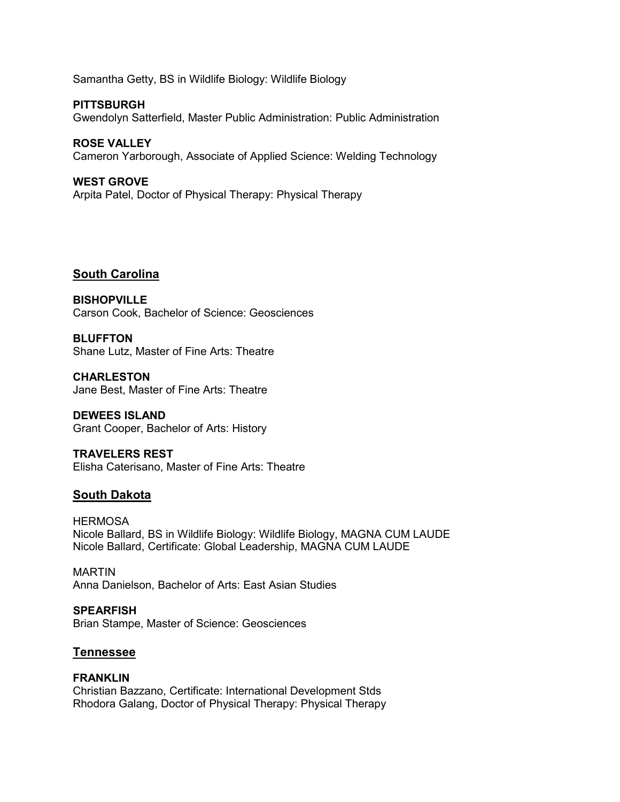Samantha Getty, BS in Wildlife Biology: Wildlife Biology

**PITTSBURGH** Gwendolyn Satterfield, Master Public Administration: Public Administration

**ROSE VALLEY** Cameron Yarborough, Associate of Applied Science: Welding Technology

**WEST GROVE**

Arpita Patel, Doctor of Physical Therapy: Physical Therapy

# **South Carolina**

**BISHOPVILLE** Carson Cook, Bachelor of Science: Geosciences

**BLUFFTON** Shane Lutz, Master of Fine Arts: Theatre

**CHARLESTON** Jane Best, Master of Fine Arts: Theatre

**DEWEES ISLAND** Grant Cooper, Bachelor of Arts: History

**TRAVELERS REST** Elisha Caterisano, Master of Fine Arts: Theatre

# **South Dakota**

**HERMOSA** Nicole Ballard, BS in Wildlife Biology: Wildlife Biology, MAGNA CUM LAUDE Nicole Ballard, Certificate: Global Leadership, MAGNA CUM LAUDE

MARTIN Anna Danielson, Bachelor of Arts: East Asian Studies

**SPEARFISH** Brian Stampe, Master of Science: Geosciences

# **Tennessee**

#### **FRANKLIN**

Christian Bazzano, Certificate: International Development Stds Rhodora Galang, Doctor of Physical Therapy: Physical Therapy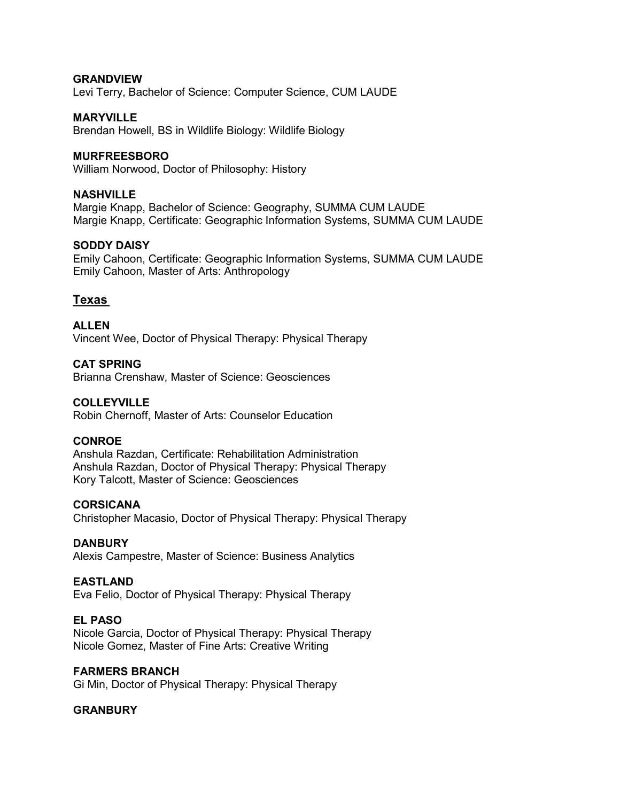## **GRANDVIEW**

Levi Terry, Bachelor of Science: Computer Science, CUM LAUDE

## **MARYVILLE**

Brendan Howell, BS in Wildlife Biology: Wildlife Biology

#### **MURFREESBORO**

William Norwood, Doctor of Philosophy: History

#### **NASHVILLE**

Margie Knapp, Bachelor of Science: Geography, SUMMA CUM LAUDE Margie Knapp, Certificate: Geographic Information Systems, SUMMA CUM LAUDE

#### **SODDY DAISY**

Emily Cahoon, Certificate: Geographic Information Systems, SUMMA CUM LAUDE Emily Cahoon, Master of Arts: Anthropology

# **Texas**

**ALLEN** Vincent Wee, Doctor of Physical Therapy: Physical Therapy

#### **CAT SPRING**

Brianna Crenshaw, Master of Science: Geosciences

#### **COLLEYVILLE**

Robin Chernoff, Master of Arts: Counselor Education

#### **CONROE**

Anshula Razdan, Certificate: Rehabilitation Administration Anshula Razdan, Doctor of Physical Therapy: Physical Therapy Kory Talcott, Master of Science: Geosciences

#### **CORSICANA**

Christopher Macasio, Doctor of Physical Therapy: Physical Therapy

#### **DANBURY**

Alexis Campestre, Master of Science: Business Analytics

#### **EASTLAND**

Eva Felio, Doctor of Physical Therapy: Physical Therapy

#### **EL PASO**

Nicole Garcia, Doctor of Physical Therapy: Physical Therapy Nicole Gomez, Master of Fine Arts: Creative Writing

#### **FARMERS BRANCH**

Gi Min, Doctor of Physical Therapy: Physical Therapy

#### **GRANBURY**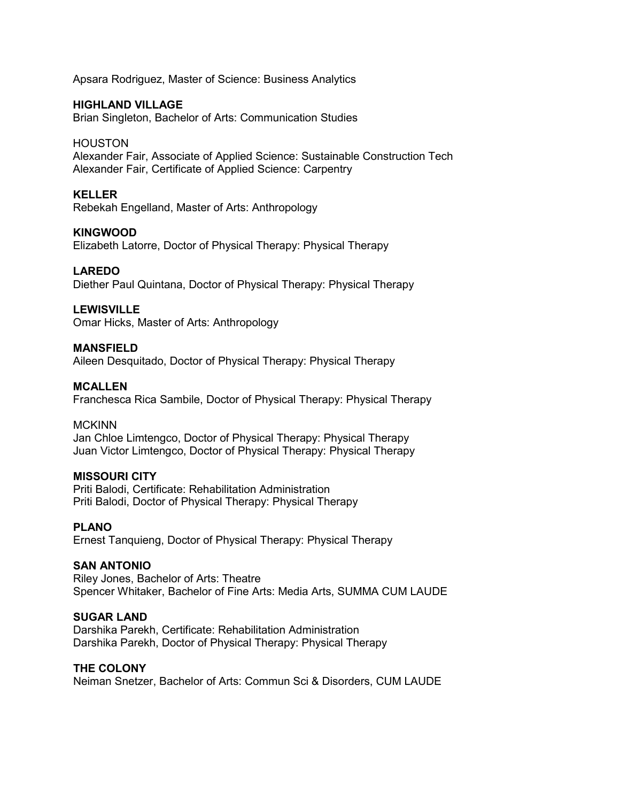Apsara Rodriguez, Master of Science: Business Analytics

# **HIGHLAND VILLAGE**

Brian Singleton, Bachelor of Arts: Communication Studies

## HOUSTON

Alexander Fair, Associate of Applied Science: Sustainable Construction Tech Alexander Fair, Certificate of Applied Science: Carpentry

## **KELLER**

Rebekah Engelland, Master of Arts: Anthropology

## **KINGWOOD**

Elizabeth Latorre, Doctor of Physical Therapy: Physical Therapy

# **LAREDO**

Diether Paul Quintana, Doctor of Physical Therapy: Physical Therapy

## **LEWISVILLE**

Omar Hicks, Master of Arts: Anthropology

## **MANSFIELD**

Aileen Desquitado, Doctor of Physical Therapy: Physical Therapy

## **MCALLEN**

Franchesca Rica Sambile, Doctor of Physical Therapy: Physical Therapy

#### **MCKINN**

Jan Chloe Limtengco, Doctor of Physical Therapy: Physical Therapy Juan Victor Limtengco, Doctor of Physical Therapy: Physical Therapy

#### **MISSOURI CITY**

Priti Balodi, Certificate: Rehabilitation Administration Priti Balodi, Doctor of Physical Therapy: Physical Therapy

#### **PLANO**

Ernest Tanquieng, Doctor of Physical Therapy: Physical Therapy

#### **SAN ANTONIO**

Riley Jones, Bachelor of Arts: Theatre Spencer Whitaker, Bachelor of Fine Arts: Media Arts, SUMMA CUM LAUDE

#### **SUGAR LAND**

Darshika Parekh, Certificate: Rehabilitation Administration Darshika Parekh, Doctor of Physical Therapy: Physical Therapy

## **THE COLONY**

Neiman Snetzer, Bachelor of Arts: Commun Sci & Disorders, CUM LAUDE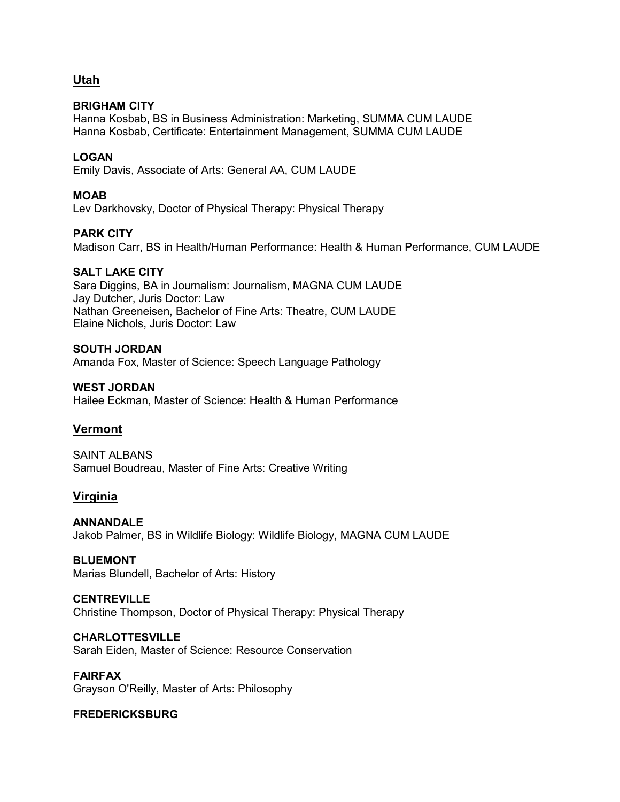# **Utah**

# **BRIGHAM CITY**

Hanna Kosbab, BS in Business Administration: Marketing, SUMMA CUM LAUDE Hanna Kosbab, Certificate: Entertainment Management, SUMMA CUM LAUDE

# **LOGAN**

Emily Davis, Associate of Arts: General AA, CUM LAUDE

# **MOAB**

Lev Darkhovsky, Doctor of Physical Therapy: Physical Therapy

# **PARK CITY**

Madison Carr, BS in Health/Human Performance: Health & Human Performance, CUM LAUDE

## **SALT LAKE CITY**

Sara Diggins, BA in Journalism: Journalism, MAGNA CUM LAUDE Jay Dutcher, Juris Doctor: Law Nathan Greeneisen, Bachelor of Fine Arts: Theatre, CUM LAUDE Elaine Nichols, Juris Doctor: Law

#### **SOUTH JORDAN**

Amanda Fox, Master of Science: Speech Language Pathology

## **WEST JORDAN**

Hailee Eckman, Master of Science: Health & Human Performance

# **Vermont**

SAINT AI BANS Samuel Boudreau, Master of Fine Arts: Creative Writing

# **Virginia**

**ANNANDALE** Jakob Palmer, BS in Wildlife Biology: Wildlife Biology, MAGNA CUM LAUDE

#### **BLUEMONT**

Marias Blundell, Bachelor of Arts: History

# **CENTREVILLE**

Christine Thompson, Doctor of Physical Therapy: Physical Therapy

#### **CHARLOTTESVILLE**

Sarah Eiden, Master of Science: Resource Conservation

#### **FAIRFAX**

Grayson O'Reilly, Master of Arts: Philosophy

#### **FREDERICKSBURG**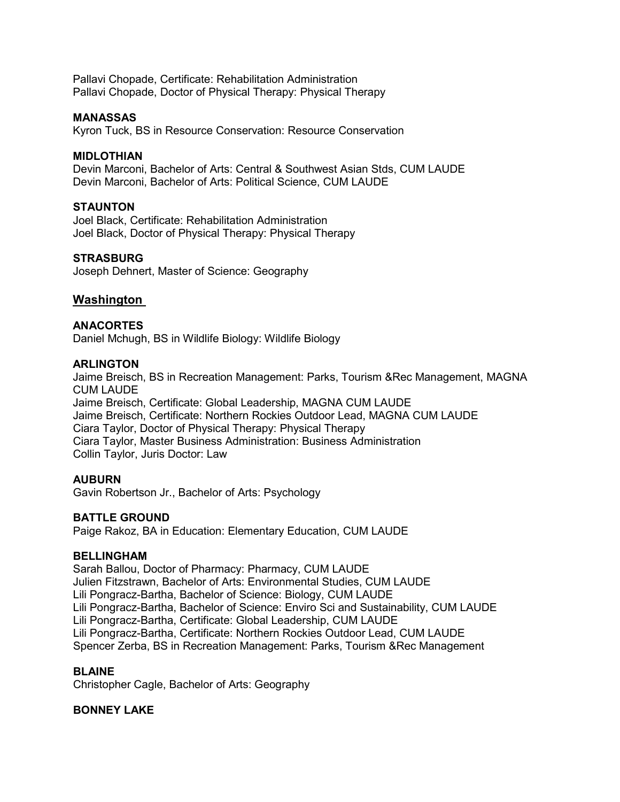Pallavi Chopade, Certificate: Rehabilitation Administration Pallavi Chopade, Doctor of Physical Therapy: Physical Therapy

#### **MANASSAS**

Kyron Tuck, BS in Resource Conservation: Resource Conservation

#### **MIDLOTHIAN**

Devin Marconi, Bachelor of Arts: Central & Southwest Asian Stds, CUM LAUDE Devin Marconi, Bachelor of Arts: Political Science, CUM LAUDE

# **STAUNTON**

Joel Black, Certificate: Rehabilitation Administration Joel Black, Doctor of Physical Therapy: Physical Therapy

#### **STRASBURG**

Joseph Dehnert, Master of Science: Geography

#### **Washington**

#### **ANACORTES**

Daniel Mchugh, BS in Wildlife Biology: Wildlife Biology

#### **ARLINGTON**

Jaime Breisch, BS in Recreation Management: Parks, Tourism &Rec Management, MAGNA CUM LAUDE Jaime Breisch, Certificate: Global Leadership, MAGNA CUM LAUDE Jaime Breisch, Certificate: Northern Rockies Outdoor Lead, MAGNA CUM LAUDE Ciara Taylor, Doctor of Physical Therapy: Physical Therapy Ciara Taylor, Master Business Administration: Business Administration Collin Taylor, Juris Doctor: Law

#### **AUBURN**

Gavin Robertson Jr., Bachelor of Arts: Psychology

## **BATTLE GROUND**

Paige Rakoz, BA in Education: Elementary Education, CUM LAUDE

#### **BELLINGHAM**

Sarah Ballou, Doctor of Pharmacy: Pharmacy, CUM LAUDE Julien Fitzstrawn, Bachelor of Arts: Environmental Studies, CUM LAUDE Lili Pongracz-Bartha, Bachelor of Science: Biology, CUM LAUDE Lili Pongracz-Bartha, Bachelor of Science: Enviro Sci and Sustainability, CUM LAUDE Lili Pongracz-Bartha, Certificate: Global Leadership, CUM LAUDE Lili Pongracz-Bartha, Certificate: Northern Rockies Outdoor Lead, CUM LAUDE Spencer Zerba, BS in Recreation Management: Parks, Tourism &Rec Management

#### **BLAINE**

Christopher Cagle, Bachelor of Arts: Geography

#### **BONNEY LAKE**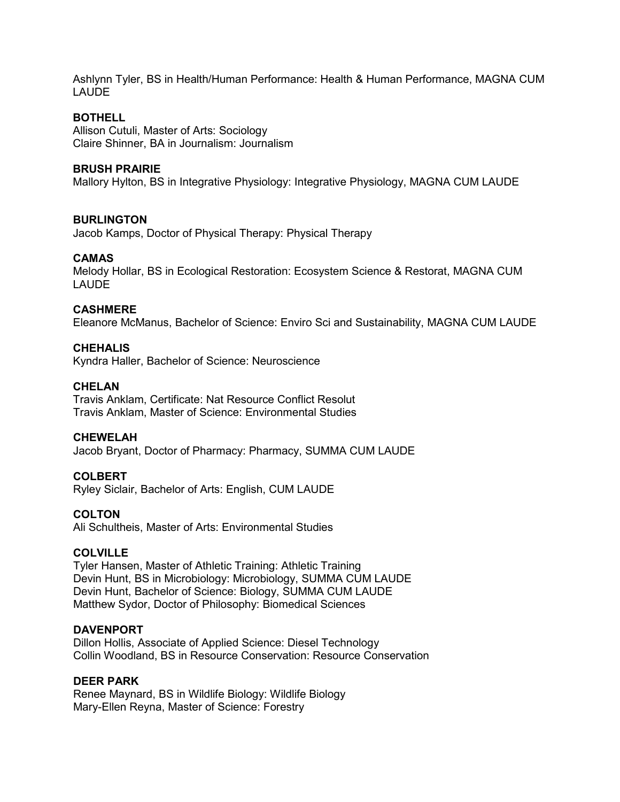Ashlynn Tyler, BS in Health/Human Performance: Health & Human Performance, MAGNA CUM LAUDE

# **BOTHELL**

Allison Cutuli, Master of Arts: Sociology Claire Shinner, BA in Journalism: Journalism

#### **BRUSH PRAIRIE**

Mallory Hylton, BS in Integrative Physiology: Integrative Physiology, MAGNA CUM LAUDE

#### **BURLINGTON**

Jacob Kamps, Doctor of Physical Therapy: Physical Therapy

#### **CAMAS**

Melody Hollar, BS in Ecological Restoration: Ecosystem Science & Restorat, MAGNA CUM LAUDE

## **CASHMERE**

Eleanore McManus, Bachelor of Science: Enviro Sci and Sustainability, MAGNA CUM LAUDE

#### **CHEHALIS**

Kyndra Haller, Bachelor of Science: Neuroscience

#### **CHELAN**

Travis Anklam, Certificate: Nat Resource Conflict Resolut Travis Anklam, Master of Science: Environmental Studies

#### **CHEWELAH**

Jacob Bryant, Doctor of Pharmacy: Pharmacy, SUMMA CUM LAUDE

#### **COLBERT**

Ryley Siclair, Bachelor of Arts: English, CUM LAUDE

#### **COLTON**

Ali Schultheis, Master of Arts: Environmental Studies

#### **COLVILLE**

Tyler Hansen, Master of Athletic Training: Athletic Training Devin Hunt, BS in Microbiology: Microbiology, SUMMA CUM LAUDE Devin Hunt, Bachelor of Science: Biology, SUMMA CUM LAUDE Matthew Sydor, Doctor of Philosophy: Biomedical Sciences

#### **DAVENPORT**

Dillon Hollis, Associate of Applied Science: Diesel Technology Collin Woodland, BS in Resource Conservation: Resource Conservation

#### **DEER PARK**

Renee Maynard, BS in Wildlife Biology: Wildlife Biology Mary-Ellen Reyna, Master of Science: Forestry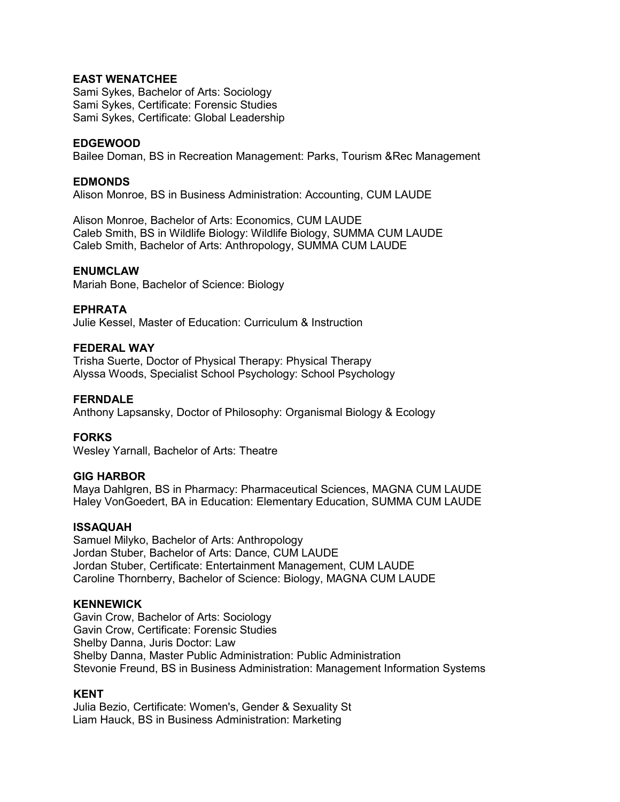# **EAST WENATCHEE**

Sami Sykes, Bachelor of Arts: Sociology Sami Sykes, Certificate: Forensic Studies Sami Sykes, Certificate: Global Leadership

## **EDGEWOOD**

Bailee Doman, BS in Recreation Management: Parks, Tourism &Rec Management

## **EDMONDS**

Alison Monroe, BS in Business Administration: Accounting, CUM LAUDE

Alison Monroe, Bachelor of Arts: Economics, CUM LAUDE Caleb Smith, BS in Wildlife Biology: Wildlife Biology, SUMMA CUM LAUDE Caleb Smith, Bachelor of Arts: Anthropology, SUMMA CUM LAUDE

## **ENUMCLAW**

Mariah Bone, Bachelor of Science: Biology

#### **EPHRATA**

Julie Kessel, Master of Education: Curriculum & Instruction

#### **FEDERAL WAY**

Trisha Suerte, Doctor of Physical Therapy: Physical Therapy Alyssa Woods, Specialist School Psychology: School Psychology

#### **FERNDALE**

Anthony Lapsansky, Doctor of Philosophy: Organismal Biology & Ecology

# **FORKS**

Wesley Yarnall, Bachelor of Arts: Theatre

#### **GIG HARBOR**

Maya Dahlgren, BS in Pharmacy: Pharmaceutical Sciences, MAGNA CUM LAUDE Haley VonGoedert, BA in Education: Elementary Education, SUMMA CUM LAUDE

#### **ISSAQUAH**

Samuel Milyko, Bachelor of Arts: Anthropology Jordan Stuber, Bachelor of Arts: Dance, CUM LAUDE Jordan Stuber, Certificate: Entertainment Management, CUM LAUDE Caroline Thornberry, Bachelor of Science: Biology, MAGNA CUM LAUDE

#### **KENNEWICK**

Gavin Crow, Bachelor of Arts: Sociology Gavin Crow, Certificate: Forensic Studies Shelby Danna, Juris Doctor: Law Shelby Danna, Master Public Administration: Public Administration Stevonie Freund, BS in Business Administration: Management Information Systems

#### **KENT**

Julia Bezio, Certificate: Women's, Gender & Sexuality St Liam Hauck, BS in Business Administration: Marketing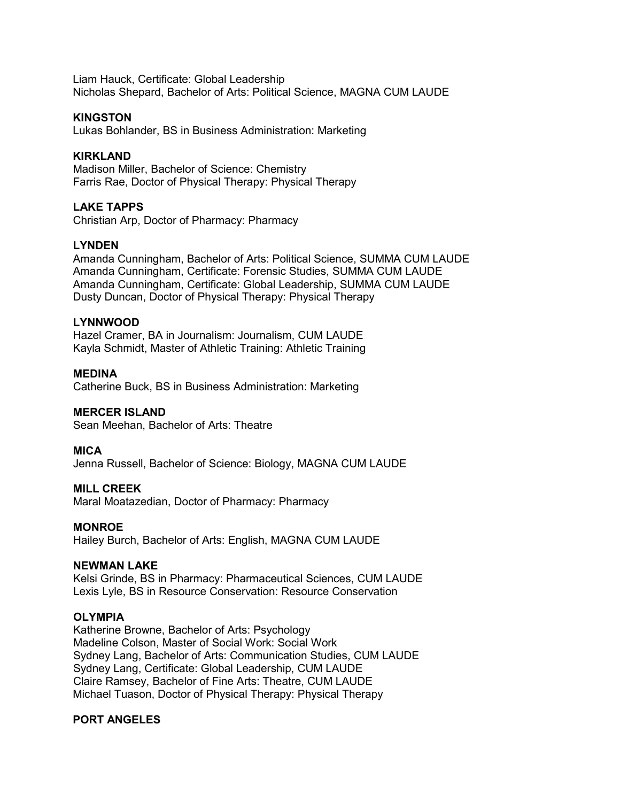Liam Hauck, Certificate: Global Leadership Nicholas Shepard, Bachelor of Arts: Political Science, MAGNA CUM LAUDE

#### **KINGSTON**

Lukas Bohlander, BS in Business Administration: Marketing

## **KIRKLAND**

Madison Miller, Bachelor of Science: Chemistry Farris Rae, Doctor of Physical Therapy: Physical Therapy

#### **LAKE TAPPS**

Christian Arp, Doctor of Pharmacy: Pharmacy

#### **LYNDEN**

Amanda Cunningham, Bachelor of Arts: Political Science, SUMMA CUM LAUDE Amanda Cunningham, Certificate: Forensic Studies, SUMMA CUM LAUDE Amanda Cunningham, Certificate: Global Leadership, SUMMA CUM LAUDE Dusty Duncan, Doctor of Physical Therapy: Physical Therapy

#### **LYNNWOOD**

Hazel Cramer, BA in Journalism: Journalism, CUM LAUDE Kayla Schmidt, Master of Athletic Training: Athletic Training

**MEDINA** Catherine Buck, BS in Business Administration: Marketing

#### **MERCER ISLAND**

Sean Meehan, Bachelor of Arts: Theatre

**MICA**

Jenna Russell, Bachelor of Science: Biology, MAGNA CUM LAUDE

#### **MILL CREEK**

Maral Moatazedian, Doctor of Pharmacy: Pharmacy

#### **MONROE**

Hailey Burch, Bachelor of Arts: English, MAGNA CUM LAUDE

#### **NEWMAN LAKE**

Kelsi Grinde, BS in Pharmacy: Pharmaceutical Sciences, CUM LAUDE Lexis Lyle, BS in Resource Conservation: Resource Conservation

#### **OLYMPIA**

Katherine Browne, Bachelor of Arts: Psychology Madeline Colson, Master of Social Work: Social Work Sydney Lang, Bachelor of Arts: Communication Studies, CUM LAUDE Sydney Lang, Certificate: Global Leadership, CUM LAUDE Claire Ramsey, Bachelor of Fine Arts: Theatre, CUM LAUDE Michael Tuason, Doctor of Physical Therapy: Physical Therapy

#### **PORT ANGELES**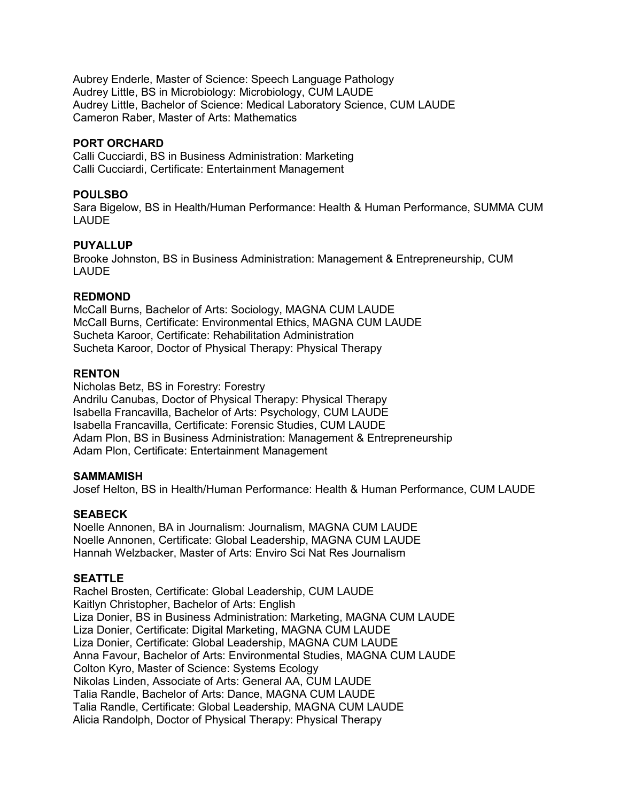Aubrey Enderle, Master of Science: Speech Language Pathology Audrey Little, BS in Microbiology: Microbiology, CUM LAUDE Audrey Little, Bachelor of Science: Medical Laboratory Science, CUM LAUDE Cameron Raber, Master of Arts: Mathematics

# **PORT ORCHARD**

Calli Cucciardi, BS in Business Administration: Marketing Calli Cucciardi, Certificate: Entertainment Management

# **POULSBO**

Sara Bigelow, BS in Health/Human Performance: Health & Human Performance, SUMMA CUM LAUDE

# **PUYALLUP**

Brooke Johnston, BS in Business Administration: Management & Entrepreneurship, CUM LAUDE

## **REDMOND**

McCall Burns, Bachelor of Arts: Sociology, MAGNA CUM LAUDE McCall Burns, Certificate: Environmental Ethics, MAGNA CUM LAUDE Sucheta Karoor, Certificate: Rehabilitation Administration Sucheta Karoor, Doctor of Physical Therapy: Physical Therapy

## **RENTON**

Nicholas Betz, BS in Forestry: Forestry Andrilu Canubas, Doctor of Physical Therapy: Physical Therapy Isabella Francavilla, Bachelor of Arts: Psychology, CUM LAUDE Isabella Francavilla, Certificate: Forensic Studies, CUM LAUDE Adam Plon, BS in Business Administration: Management & Entrepreneurship Adam Plon, Certificate: Entertainment Management

#### **SAMMAMISH**

Josef Helton, BS in Health/Human Performance: Health & Human Performance, CUM LAUDE

#### **SEABECK**

Noelle Annonen, BA in Journalism: Journalism, MAGNA CUM LAUDE Noelle Annonen, Certificate: Global Leadership, MAGNA CUM LAUDE Hannah Welzbacker, Master of Arts: Enviro Sci Nat Res Journalism

# **SEATTLE**

Rachel Brosten, Certificate: Global Leadership, CUM LAUDE Kaitlyn Christopher, Bachelor of Arts: English Liza Donier, BS in Business Administration: Marketing, MAGNA CUM LAUDE Liza Donier, Certificate: Digital Marketing, MAGNA CUM LAUDE Liza Donier, Certificate: Global Leadership, MAGNA CUM LAUDE Anna Favour, Bachelor of Arts: Environmental Studies, MAGNA CUM LAUDE Colton Kyro, Master of Science: Systems Ecology Nikolas Linden, Associate of Arts: General AA, CUM LAUDE Talia Randle, Bachelor of Arts: Dance, MAGNA CUM LAUDE Talia Randle, Certificate: Global Leadership, MAGNA CUM LAUDE Alicia Randolph, Doctor of Physical Therapy: Physical Therapy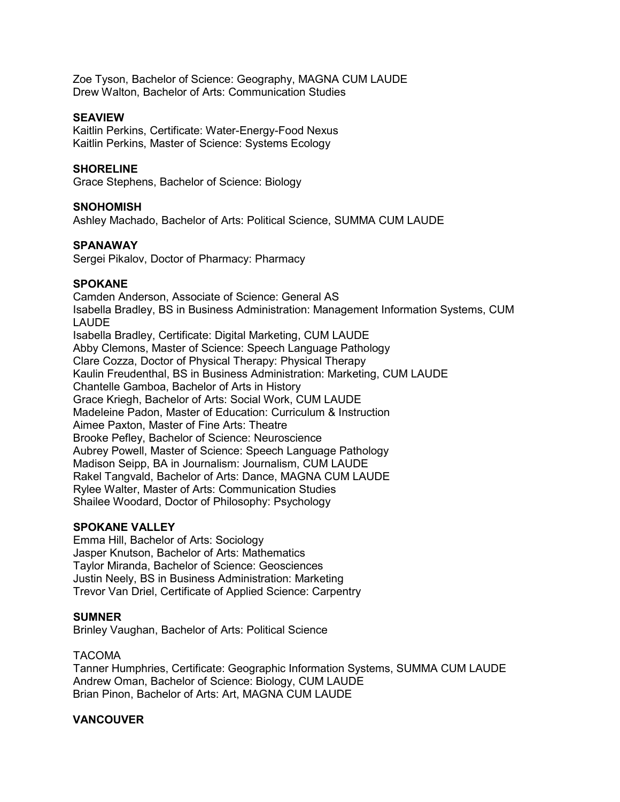Zoe Tyson, Bachelor of Science: Geography, MAGNA CUM LAUDE Drew Walton, Bachelor of Arts: Communication Studies

## **SEAVIEW**

Kaitlin Perkins, Certificate: Water-Energy-Food Nexus Kaitlin Perkins, Master of Science: Systems Ecology

#### **SHORELINE**

Grace Stephens, Bachelor of Science: Biology

#### **SNOHOMISH**

Ashley Machado, Bachelor of Arts: Political Science, SUMMA CUM LAUDE

## **SPANAWAY**

Sergei Pikalov, Doctor of Pharmacy: Pharmacy

## **SPOKANE**

Camden Anderson, Associate of Science: General AS Isabella Bradley, BS in Business Administration: Management Information Systems, CUM LAUDE Isabella Bradley, Certificate: Digital Marketing, CUM LAUDE Abby Clemons, Master of Science: Speech Language Pathology Clare Cozza, Doctor of Physical Therapy: Physical Therapy Kaulin Freudenthal, BS in Business Administration: Marketing, CUM LAUDE Chantelle Gamboa, Bachelor of Arts in History Grace Kriegh, Bachelor of Arts: Social Work, CUM LAUDE Madeleine Padon, Master of Education: Curriculum & Instruction Aimee Paxton, Master of Fine Arts: Theatre Brooke Pefley, Bachelor of Science: Neuroscience Aubrey Powell, Master of Science: Speech Language Pathology Madison Seipp, BA in Journalism: Journalism, CUM LAUDE Rakel Tangvald, Bachelor of Arts: Dance, MAGNA CUM LAUDE Rylee Walter, Master of Arts: Communication Studies Shailee Woodard, Doctor of Philosophy: Psychology

#### **SPOKANE VALLEY**

Emma Hill, Bachelor of Arts: Sociology Jasper Knutson, Bachelor of Arts: Mathematics Taylor Miranda, Bachelor of Science: Geosciences Justin Neely, BS in Business Administration: Marketing Trevor Van Driel, Certificate of Applied Science: Carpentry

#### **SUMNER**

Brinley Vaughan, Bachelor of Arts: Political Science

#### TACOMA

Tanner Humphries, Certificate: Geographic Information Systems, SUMMA CUM LAUDE Andrew Oman, Bachelor of Science: Biology, CUM LAUDE Brian Pinon, Bachelor of Arts: Art, MAGNA CUM LAUDE

# **VANCOUVER**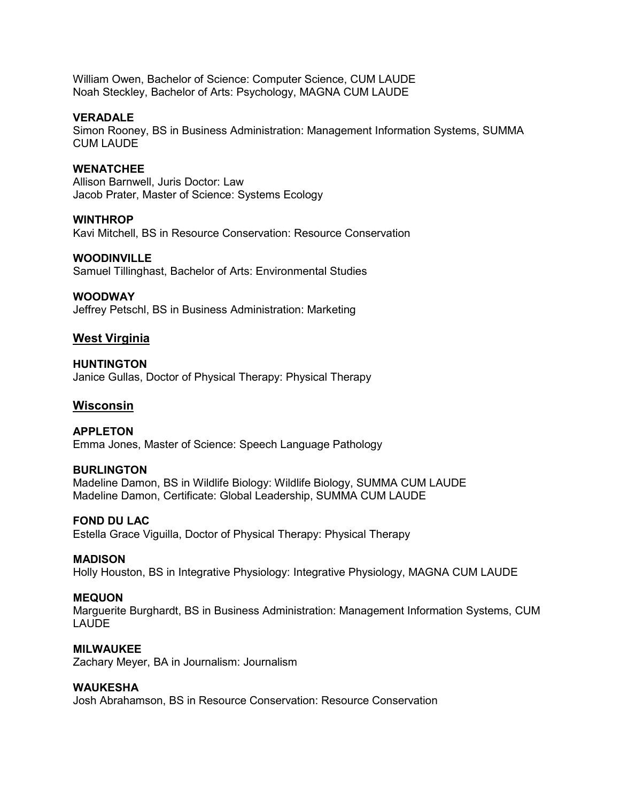William Owen, Bachelor of Science: Computer Science, CUM LAUDE Noah Steckley, Bachelor of Arts: Psychology, MAGNA CUM LAUDE

#### **VERADALE**

Simon Rooney, BS in Business Administration: Management Information Systems, SUMMA CUM LAUDE

#### **WENATCHEE**

Allison Barnwell, Juris Doctor: Law Jacob Prater, Master of Science: Systems Ecology

#### **WINTHROP**

Kavi Mitchell, BS in Resource Conservation: Resource Conservation

#### **WOODINVILLE**

Samuel Tillinghast, Bachelor of Arts: Environmental Studies

#### **WOODWAY**

Jeffrey Petschl, BS in Business Administration: Marketing

## **West Virginia**

**HUNTINGTON** Janice Gullas, Doctor of Physical Therapy: Physical Therapy

#### **Wisconsin**

**APPLETON** Emma Jones, Master of Science: Speech Language Pathology

#### **BURLINGTON**

Madeline Damon, BS in Wildlife Biology: Wildlife Biology, SUMMA CUM LAUDE Madeline Damon, Certificate: Global Leadership, SUMMA CUM LAUDE

#### **FOND DU LAC**

Estella Grace Viguilla, Doctor of Physical Therapy: Physical Therapy

#### **MADISON**

Holly Houston, BS in Integrative Physiology: Integrative Physiology, MAGNA CUM LAUDE

#### **MEQUON**

Marguerite Burghardt, BS in Business Administration: Management Information Systems, CUM LAUDE

#### **MILWAUKEE**

Zachary Meyer, BA in Journalism: Journalism

#### **WAUKESHA**

Josh Abrahamson, BS in Resource Conservation: Resource Conservation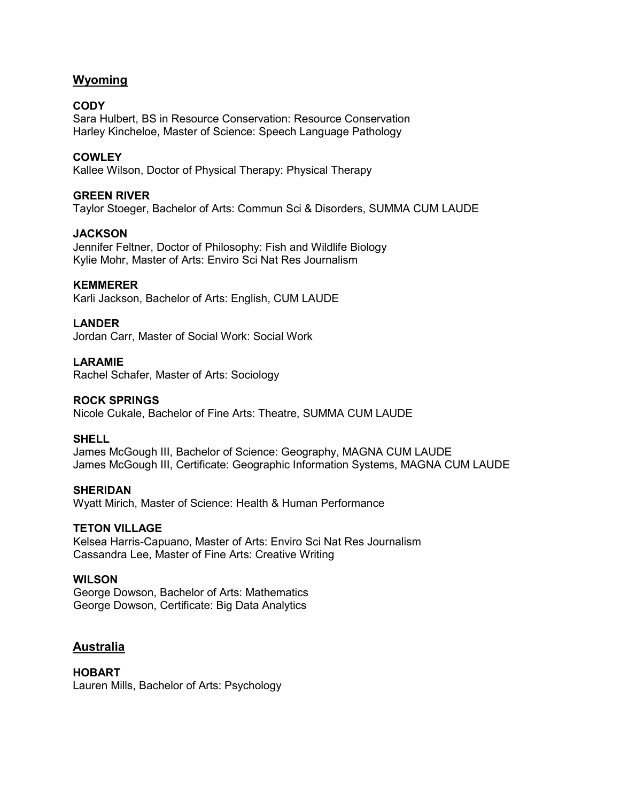# **Wyoming**

# **CODY**

Sara Hulbert, BS in Resource Conservation: Resource Conservation Harley Kincheloe, Master of Science: Speech Language Pathology

# **COWLEY**

Kallee Wilson, Doctor of Physical Therapy: Physical Therapy

## **GREEN RIVER**

Taylor Stoeger, Bachelor of Arts: Commun Sci & Disorders, SUMMA CUM LAUDE

## **JACKSON**

Jennifer Feltner, Doctor of Philosophy: Fish and Wildlife Biology Kylie Mohr, Master of Arts: Enviro Sci Nat Res Journalism

#### **KEMMERER**

Karli Jackson, Bachelor of Arts: English, CUM LAUDE

# **LANDER**

Jordan Carr, Master of Social Work: Social Work

## **LARAMIE**

Rachel Schafer, Master of Arts: Sociology

#### **ROCK SPRINGS**

Nicole Cukale, Bachelor of Fine Arts: Theatre, SUMMA CUM LAUDE

#### **SHELL**

James McGough III, Bachelor of Science: Geography, MAGNA CUM LAUDE James McGough III, Certificate: Geographic Information Systems, MAGNA CUM LAUDE

#### **SHERIDAN**

Wyatt Mirich, Master of Science: Health & Human Performance

#### **TETON VILLAGE**

Kelsea Harris-Capuano, Master of Arts: Enviro Sci Nat Res Journalism Cassandra Lee, Master of Fine Arts: Creative Writing

## **WILSON**

George Dowson, Bachelor of Arts: Mathematics George Dowson, Certificate: Big Data Analytics

# **Australia**

#### **HOBART**

Lauren Mills, Bachelor of Arts: Psychology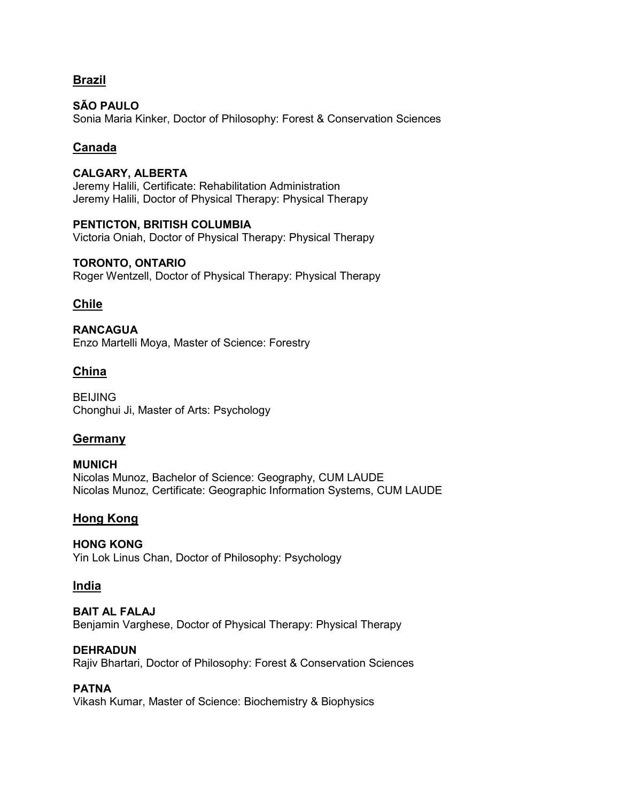# **Brazil**

**SÃO PAULO** Sonia Maria Kinker, Doctor of Philosophy: Forest & Conservation Sciences

# **Canada**

**CALGARY, ALBERTA** Jeremy Halili, Certificate: Rehabilitation Administration Jeremy Halili, Doctor of Physical Therapy: Physical Therapy

**PENTICTON, BRITISH COLUMBIA** Victoria Oniah, Doctor of Physical Therapy: Physical Therapy

# **TORONTO, ONTARIO** Roger Wentzell, Doctor of Physical Therapy: Physical Therapy

# **Chile**

**RANCAGUA** Enzo Martelli Moya, Master of Science: Forestry

# **China**

**BEIJING** Chonghui Ji, Master of Arts: Psychology

# **Germany**

**MUNICH** Nicolas Munoz, Bachelor of Science: Geography, CUM LAUDE Nicolas Munoz, Certificate: Geographic Information Systems, CUM LAUDE

# **Hong Kong**

# **HONG KONG**

Yin Lok Linus Chan, Doctor of Philosophy: Psychology

# **India**

# **BAIT AL FALAJ**

Benjamin Varghese, Doctor of Physical Therapy: Physical Therapy

# **DEHRADUN**

Rajiv Bhartari, Doctor of Philosophy: Forest & Conservation Sciences

# **PATNA**

Vikash Kumar, Master of Science: Biochemistry & Biophysics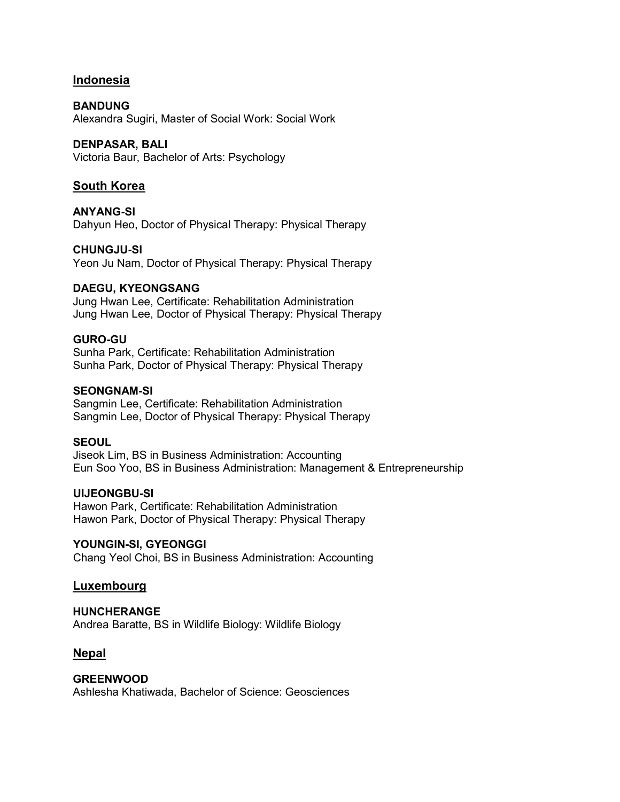# **Indonesia**

**BANDUNG** Alexandra Sugiri, Master of Social Work: Social Work

# **DENPASAR, BALI**

Victoria Baur, Bachelor of Arts: Psychology

# **South Korea**

**ANYANG-SI** Dahyun Heo, Doctor of Physical Therapy: Physical Therapy

## **CHUNGJU-SI**

Yeon Ju Nam, Doctor of Physical Therapy: Physical Therapy

## **DAEGU, KYEONGSANG**

Jung Hwan Lee, Certificate: Rehabilitation Administration Jung Hwan Lee, Doctor of Physical Therapy: Physical Therapy

## **GURO-GU**

Sunha Park, Certificate: Rehabilitation Administration Sunha Park, Doctor of Physical Therapy: Physical Therapy

## **SEONGNAM-SI**

Sangmin Lee, Certificate: Rehabilitation Administration Sangmin Lee, Doctor of Physical Therapy: Physical Therapy

# **SEOUL**

Jiseok Lim, BS in Business Administration: Accounting Eun Soo Yoo, BS in Business Administration: Management & Entrepreneurship

#### **UIJEONGBU-SI**

Hawon Park, Certificate: Rehabilitation Administration Hawon Park, Doctor of Physical Therapy: Physical Therapy

#### **YOUNGIN-SI, GYEONGGI**

Chang Yeol Choi, BS in Business Administration: Accounting

# **Luxembourg**

#### **HUNCHERANGE**

Andrea Baratte, BS in Wildlife Biology: Wildlife Biology

# **Nepal**

#### **GREENWOOD**

Ashlesha Khatiwada, Bachelor of Science: Geosciences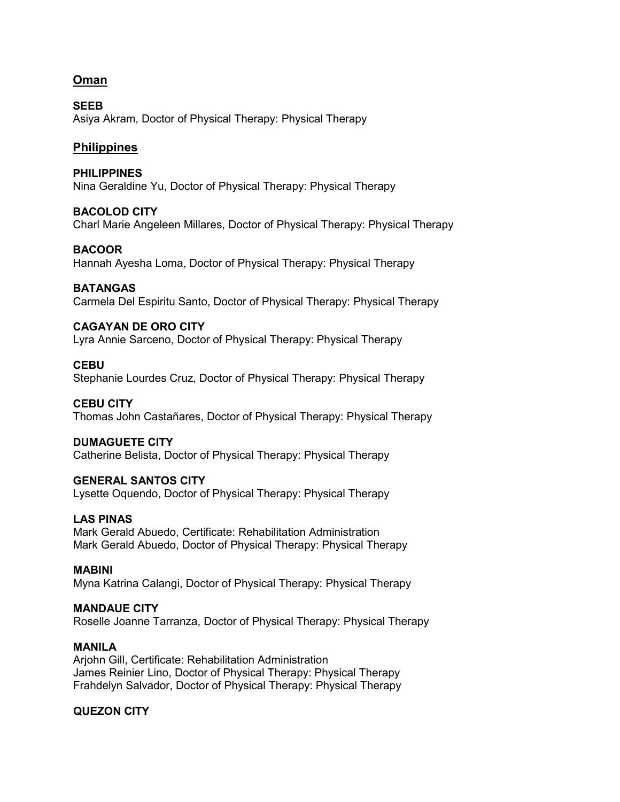# **Oman**

**SEEB** Asiya Akram, Doctor of Physical Therapy: Physical Therapy

# **Philippines**

**PHILIPPINES** Nina Geraldine Yu, Doctor of Physical Therapy: Physical Therapy

## **BACOLOD CITY**

Charl Marie Angeleen Millares, Doctor of Physical Therapy: Physical Therapy

## **BACOOR**

Hannah Ayesha Loma, Doctor of Physical Therapy: Physical Therapy

## **BATANGAS**

Carmela Del Espiritu Santo, Doctor of Physical Therapy: Physical Therapy

## **CAGAYAN DE ORO CITY**

Lyra Annie Sarceno, Doctor of Physical Therapy: Physical Therapy

#### **CEBU**

Stephanie Lourdes Cruz, Doctor of Physical Therapy: Physical Therapy

#### **CEBU CITY**

Thomas John Castañares, Doctor of Physical Therapy: Physical Therapy

# **DUMAGUETE CITY**

Catherine Belista, Doctor of Physical Therapy: Physical Therapy

# **GENERAL SANTOS CITY**

Lysette Oquendo, Doctor of Physical Therapy: Physical Therapy

# **LAS PINAS**

Mark Gerald Abuedo, Certificate: Rehabilitation Administration Mark Gerald Abuedo, Doctor of Physical Therapy: Physical Therapy

## **MABINI**

Myna Katrina Calangi, Doctor of Physical Therapy: Physical Therapy

#### **MANDAUE CITY**

Roselle Joanne Tarranza, Doctor of Physical Therapy: Physical Therapy

#### **MANILA**

Arjohn Gill, Certificate: Rehabilitation Administration James Reinier Lino, Doctor of Physical Therapy: Physical Therapy Frahdelyn Salvador, Doctor of Physical Therapy: Physical Therapy

# **QUEZON CITY**